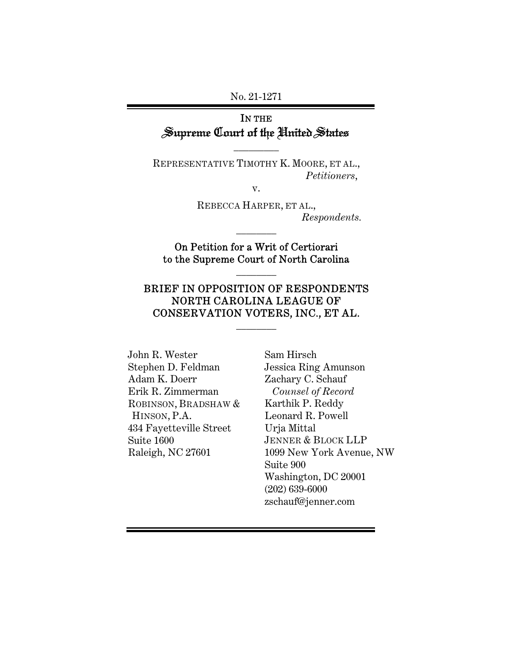#### No. 21-1271

# IN THE Supreme Court of the United States

 $\overline{\phantom{a}}$  . The set of  $\overline{\phantom{a}}$ 

REPRESENTATIVE TIMOTHY K. MOORE, ET AL., *Petitioners*,

v.

REBECCA HARPER, ET AL., *Respondents.*

On Petition for a Writ of Certiorari to the Supreme Court of North Carolina

 $\overline{\phantom{a}}$   $\overline{\phantom{a}}$ 

 $\frac{1}{2}$ 

## BRIEF IN OPPOSITION OF RESPONDENTS NORTH CAROLINA LEAGUE OF CONSERVATION VOTERS, INC., ET AL.

 $\frac{1}{2}$ 

John R. Wester Stephen D. Feldman Adam K. Doerr Erik R. Zimmerman ROBINSON, BRADSHAW & HINSON, P.A. 434 Fayetteville Street Suite 1600 Raleigh, NC 27601

Sam Hirsch Jessica Ring Amunson Zachary C. Schauf *Counsel of Record*  Karthik P. Reddy Leonard R. Powell Urja Mittal JENNER & BLOCK LLP 1099 New York Avenue, NW Suite 900 Washington, DC 20001 (202) 639-6000 zschauf@jenner.com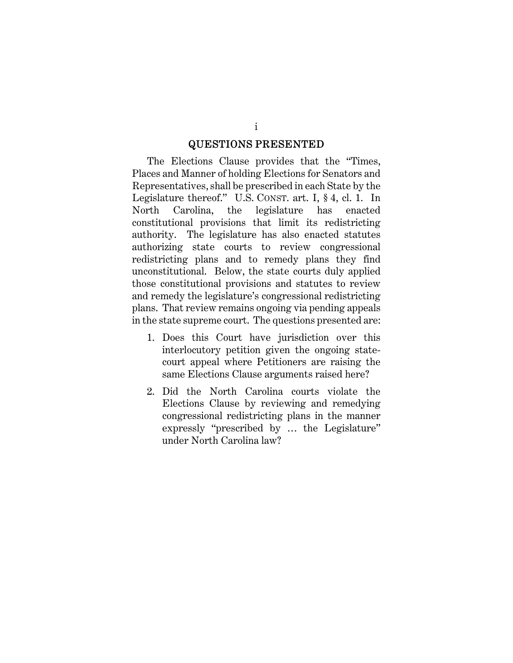#### QUESTIONS PRESENTED

The Elections Clause provides that the "Times, Places and Manner of holding Elections for Senators and Representatives, shall be prescribed in each State by the Legislature thereof." U.S. CONST. art. I, § 4, cl. 1. In North Carolina, the legislature has enacted constitutional provisions that limit its redistricting authority. The legislature has also enacted statutes authorizing state courts to review congressional redistricting plans and to remedy plans they find unconstitutional. Below, the state courts duly applied those constitutional provisions and statutes to review and remedy the legislature's congressional redistricting plans. That review remains ongoing via pending appeals in the state supreme court. The questions presented are:

- 1. Does this Court have jurisdiction over this interlocutory petition given the ongoing statecourt appeal where Petitioners are raising the same Elections Clause arguments raised here?
- 2. Did the North Carolina courts violate the Elections Clause by reviewing and remedying congressional redistricting plans in the manner expressly "prescribed by … the Legislature" under North Carolina law?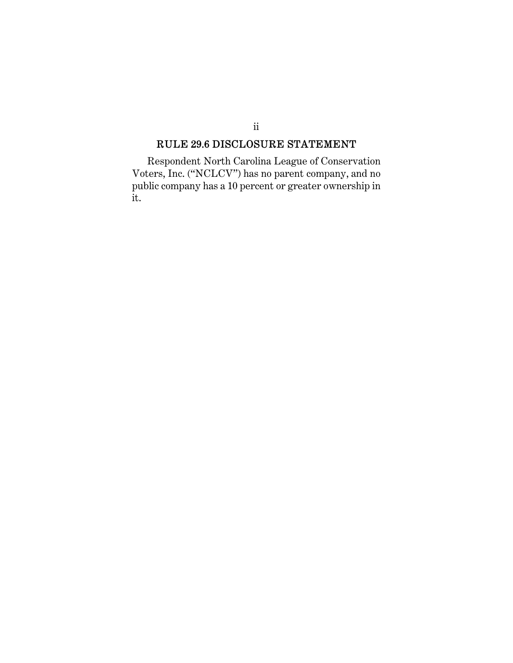# RULE 29.6 DISCLOSURE STATEMENT

ii

Respondent North Carolina League of Conservation Voters, Inc. ("NCLCV") has no parent company, and no public company has a 10 percent or greater ownership in it.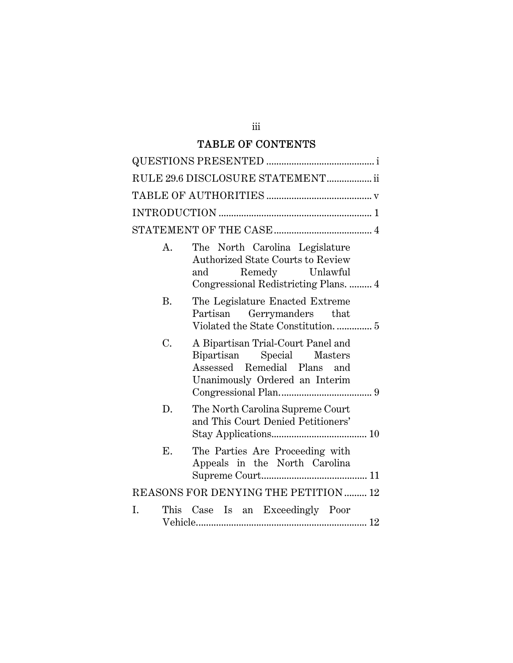# TABLE OF CONTENTS

|                                      |    | RULE 29.6 DISCLOSURE STATEMENT ii                                                                                                             |  |
|--------------------------------------|----|-----------------------------------------------------------------------------------------------------------------------------------------------|--|
|                                      |    |                                                                                                                                               |  |
|                                      |    |                                                                                                                                               |  |
|                                      |    |                                                                                                                                               |  |
|                                      | А. | The North Carolina Legislature<br><b>Authorized State Courts to Review</b><br>Remedy Unlawful<br>and<br>Congressional Redistricting Plans.  4 |  |
|                                      | B. | The Legislature Enacted Extreme<br>Partisan Gerrymanders that                                                                                 |  |
|                                      | C. | A Bipartisan Trial-Court Panel and<br>Bipartisan Special Masters<br>Assessed Remedial Plans and<br>Unanimously Ordered an Interim             |  |
|                                      | D. | The North Carolina Supreme Court<br>and This Court Denied Petitioners'                                                                        |  |
|                                      | Ε. | The Parties Are Proceeding with<br>Appeals in the North Carolina                                                                              |  |
| REASONS FOR DENYING THE PETITION  12 |    |                                                                                                                                               |  |
| I.                                   |    | This Case Is an Exceedingly Poor                                                                                                              |  |

iii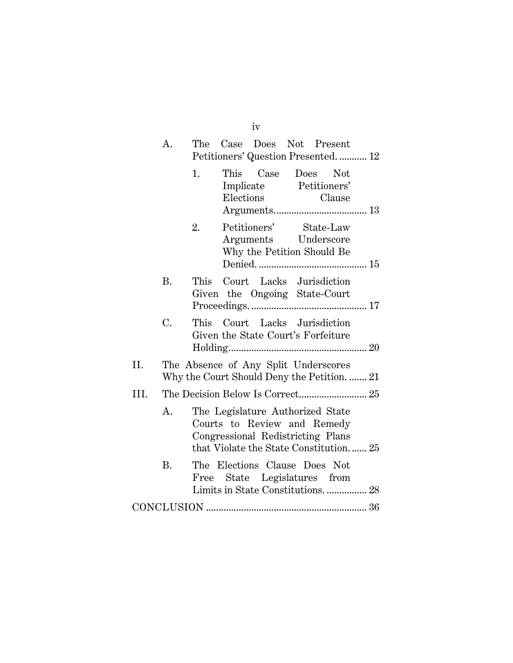|      | Α.        | Case Does Not Present<br>The<br>Petitioners' Question Presented 12                                                                            |  |  |
|------|-----------|-----------------------------------------------------------------------------------------------------------------------------------------------|--|--|
|      |           | 1.<br>This Case Does Not<br>Implicate Petitioners'<br>Elections<br>Clause                                                                     |  |  |
|      |           | Petitioners' State-Law<br>2.<br>Arguments Underscore<br>Why the Petition Should Be                                                            |  |  |
|      | <b>B.</b> | This Court Lacks Jurisdiction<br>Given the Ongoing State-Court                                                                                |  |  |
|      | C.        | This Court Lacks Jurisdiction<br>Given the State Court's Forfeiture                                                                           |  |  |
| II.  |           | The Absence of Any Split Underscores<br>Why the Court Should Deny the Petition.  21                                                           |  |  |
| III. |           |                                                                                                                                               |  |  |
|      | A.        | The Legislature Authorized State<br>Courts to Review and Remedy<br>Congressional Redistricting Plans<br>that Violate the State Constitution25 |  |  |
|      | <b>B.</b> | The Elections Clause Does Not<br>Free State Legislatures from<br>Limits in State Constitutions 28                                             |  |  |
|      |           |                                                                                                                                               |  |  |

iv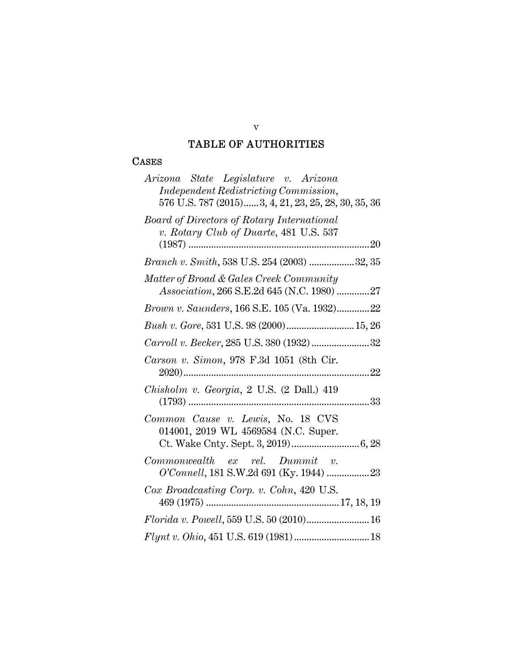## TABLE OF AUTHORITIES

#### **CASES**

| Arizona State Legislature v. Arizona<br>Independent Redistricting Commission,               |
|---------------------------------------------------------------------------------------------|
| 576 U.S. 787 (2015)3, 4, 21, 23, 25, 28, 30, 35, 36                                         |
| <b>Board of Directors of Rotary International</b><br>v. Rotary Club of Duarte, 481 U.S. 537 |
|                                                                                             |
| Branch v. Smith, 538 U.S. 254 (2003) 32, 35                                                 |
| Matter of Broad & Gales Creek Community<br>Association, 266 S.E.2d 645 (N.C. 1980) 27       |
| Brown v. Saunders, 166 S.E. 105 (Va. 1932)22                                                |
| Bush v. Gore, 531 U.S. 98 (2000) 15, 26                                                     |
| Carroll v. Becker, 285 U.S. 380 (1932) 32                                                   |
| Carson v. Simon, 978 F.3d 1051 (8th Cir.                                                    |
| Chisholm v. Georgia, 2 U.S. (2 Dall.) 419                                                   |
| Common Cause v. Lewis, No. 18 CVS<br>014001, 2019 WL 4569584 (N.C. Super.                   |
|                                                                                             |
| $Common wealth$ ex rel. $Dummit$ v.<br>O'Connell, 181 S.W.2d 691 (Ky. 1944) 23              |
| Cox Broadcasting Corp. v. Cohn, 420 U.S.                                                    |
| $Florida\ v.\ Powell, 559\ U.S.\ 50\ (2010)16$                                              |
|                                                                                             |

v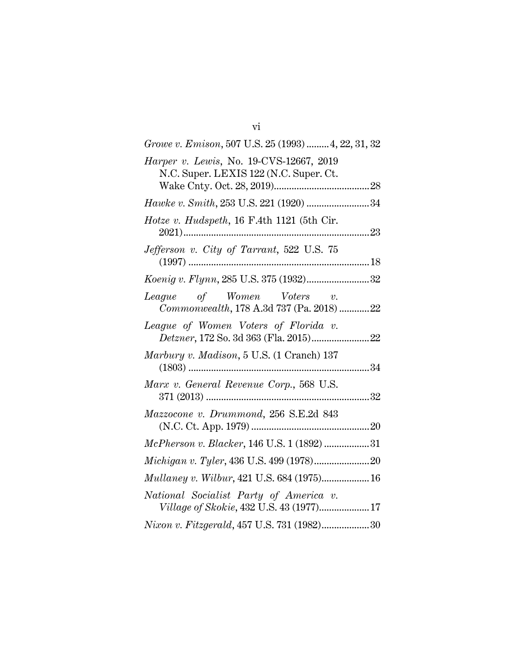| Growe v. Emison, 507 U.S. 25 (1993)  4, 22, 31, 32                                 |
|------------------------------------------------------------------------------------|
| Harper v. Lewis, No. 19-CVS-12667, 2019<br>N.C. Super. LEXIS 122 (N.C. Super. Ct.  |
|                                                                                    |
| Hawke v. Smith, 253 U.S. 221 (1920) 34                                             |
| Hotze v. Hudspeth, 16 F.4th 1121 (5th Cir.                                         |
| Jefferson v. City of Tarrant, 522 U.S. 75                                          |
| Koenig v. Flynn, 285 U.S. 375 (1932)32                                             |
| League of Women Voters v.<br>Commonwealth, 178 A.3d 737 (Pa. 2018) 22              |
| League of Women Voters of Florida v.                                               |
| Marbury v. Madison, 5 U.S. (1 Cranch) 137                                          |
| Marx v. General Revenue Corp., 568 U.S.                                            |
| Mazzocone v. Drummond, 256 S.E.2d 843                                              |
| McPherson v. Blacker, 146 U.S. 1 (1892) 31                                         |
|                                                                                    |
|                                                                                    |
| National Socialist Party of America v.<br>Village of Skokie, 432 U.S. 43 (1977) 17 |
| Nixon v. Fitzgerald, 457 U.S. 731 (1982)30                                         |

vi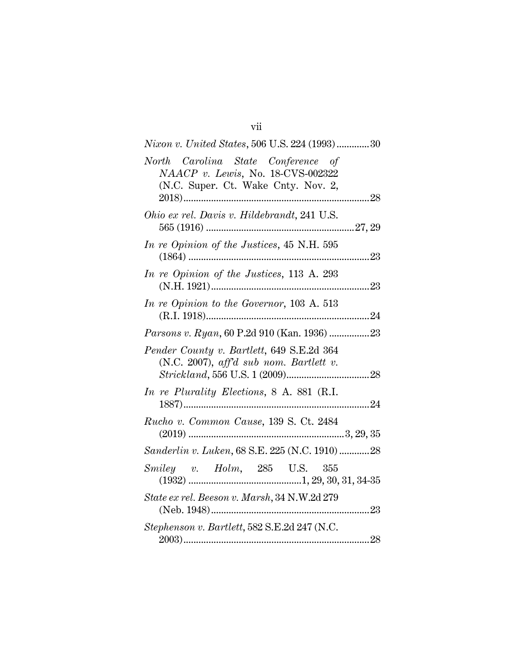| <i>Nixon v. United States,</i> 506 U.S. 224 (1993)30                                                           |
|----------------------------------------------------------------------------------------------------------------|
| North Carolina State Conference of<br>NAACP v. Lewis, No. 18-CVS-002322<br>(N.C. Super. Ct. Wake Cnty. Nov. 2, |
| Ohio ex rel. Davis v. Hildebrandt, 241 U.S.                                                                    |
| In re Opinion of the Justices, 45 N.H. 595<br>$(1864)$                                                         |
| In re Opinion of the Justices, 113 A. 293                                                                      |
| In re Opinion to the Governor, 103 A. 513                                                                      |
| Parsons v. Ryan, 60 P.2d 910 (Kan. 1936) 23                                                                    |
| Pender County v. Bartlett, 649 S.E.2d 364<br>$(N.C. 2007)$ , aff'd sub nom. Bartlett v.                        |
| In re Plurality Elections, 8 A. 881 (R.I.                                                                      |
| Rucho v. Common Cause, 139 S. Ct. 2484                                                                         |
| Sanderlin v. Luken, 68 S.E. 225 (N.C. 1910) 28                                                                 |
| Smiley v. Holm, 285 U.S. 355                                                                                   |
| State ex rel. Beeson v. Marsh, 34 N.W.2d 279                                                                   |
| Stephenson v. Bartlett, 582 S.E.2d 247 (N.C.                                                                   |

vii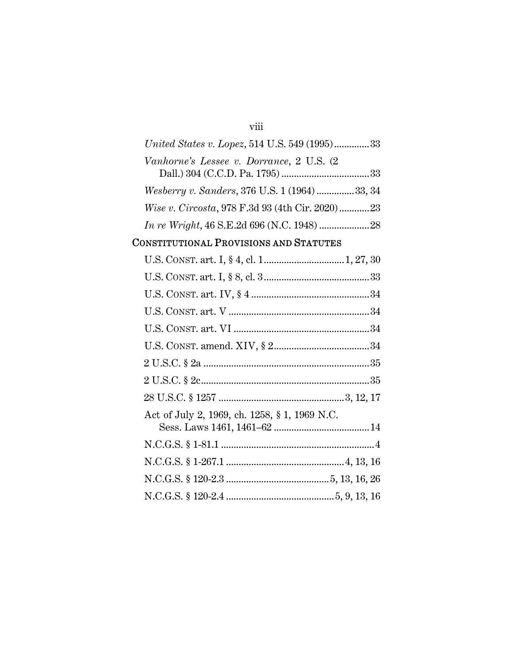## viii

| United States v. Lopez, 514 U.S. 549 (1995)33   |
|-------------------------------------------------|
| Vanhorne's Lessee v. Dorrance, 2 U.S. (2)       |
|                                                 |
| Wesberry v. Sanders, 376 U.S. 1 (1964) 33, 34   |
| Wise v. Circosta, 978 F.3d 93 (4th Cir. 2020)23 |
|                                                 |

# CONSTITUTIONAL PROVISIONS AND STATUTES

| Act of July 2, 1969, ch. 1258, § 1, 1969 N.C. |
|-----------------------------------------------|
|                                               |
|                                               |
|                                               |
|                                               |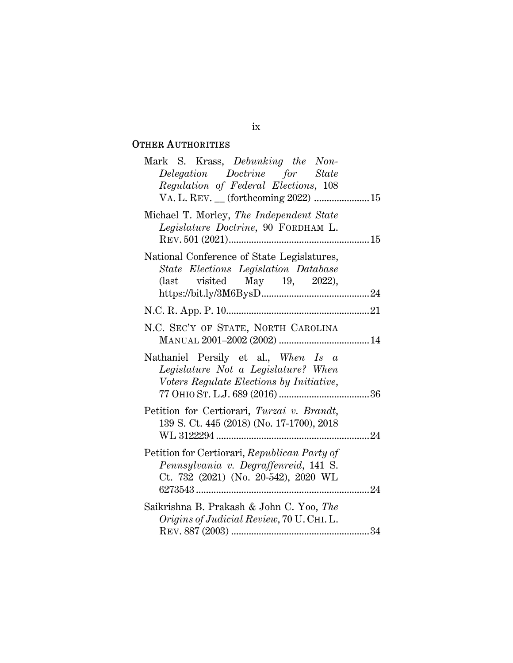# OTHER AUTHORITIES

| Mark S. Krass, Debunking the Non-<br>Delegation Doctrine for State<br>Regulation of Federal Elections, 108                                                        |  |
|-------------------------------------------------------------------------------------------------------------------------------------------------------------------|--|
| Michael T. Morley, The Independent State<br>Legislature Doctrine, 90 FORDHAM L.                                                                                   |  |
| National Conference of State Legislatures,<br>State Elections Legislation Database<br>$\text{(last} \quad \text{visited} \quad \text{May} \quad 19, \quad 2022),$ |  |
|                                                                                                                                                                   |  |
| N.C. SEC'Y OF STATE, NORTH CAROLINA                                                                                                                               |  |
| Nathaniel Persily et al., When Is a<br>Legislature Not a Legislature? When<br>Voters Regulate Elections by Initiative,                                            |  |
| Petition for Certiorari, Turzai v. Brandt,<br>139 S. Ct. 445 (2018) (No. 17-1700), 2018                                                                           |  |
| Petition for Certiorari, Republican Party of<br>Pennsylvania v. Degraffenreid, 141 S.<br>Ct. 732 (2021) (No. 20-542), 2020 WL                                     |  |
| Saikrishna B. Prakash & John C. Yoo, The<br>Origins of Judicial Review, 70 U. CHI. L.                                                                             |  |

#### ix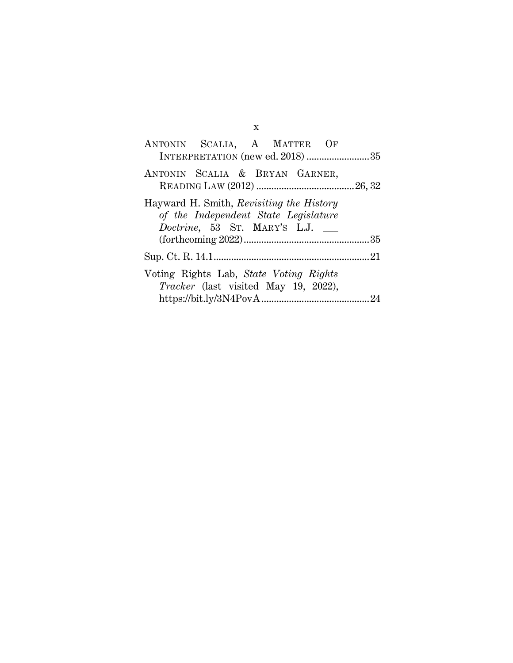| ANTONIN SCALIA, A MATTER OF<br>INTERPRETATION (new ed. 2018) 35                                                  |  |
|------------------------------------------------------------------------------------------------------------------|--|
| ANTONIN SCALIA & BRYAN GARNER,                                                                                   |  |
| Hayward H. Smith, Revisiting the History<br>of the Independent State Legislature<br>Doctrine, 53 ST. MARY'S L.J. |  |
|                                                                                                                  |  |
| Voting Rights Lab, State Voting Rights<br><i>Tracker</i> (last visited May 19, 2022),                            |  |

x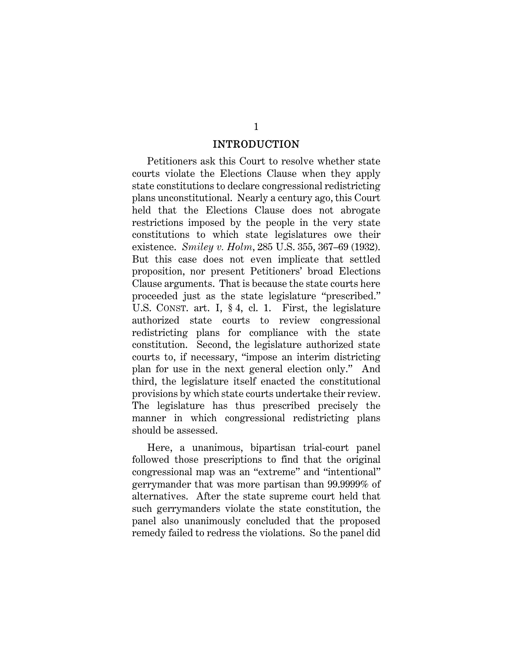#### INTRODUCTION

Petitioners ask this Court to resolve whether state courts violate the Elections Clause when they apply state constitutions to declare congressional redistricting plans unconstitutional. Nearly a century ago, this Court held that the Elections Clause does not abrogate restrictions imposed by the people in the very state constitutions to which state legislatures owe their existence. *Smiley v. Holm*, 285 U.S. 355, 367–69 (1932). But this case does not even implicate that settled proposition, nor present Petitioners' broad Elections Clause arguments. That is because the state courts here proceeded just as the state legislature "prescribed." U.S. CONST. art. I, § 4, cl. 1. First, the legislature authorized state courts to review congressional redistricting plans for compliance with the state constitution. Second, the legislature authorized state courts to, if necessary, "impose an interim districting plan for use in the next general election only." And third, the legislature itself enacted the constitutional provisions by which state courts undertake their review. The legislature has thus prescribed precisely the manner in which congressional redistricting plans should be assessed.

Here, a unanimous, bipartisan trial-court panel followed those prescriptions to find that the original congressional map was an "extreme" and "intentional" gerrymander that was more partisan than 99.9999% of alternatives. After the state supreme court held that such gerrymanders violate the state constitution, the panel also unanimously concluded that the proposed remedy failed to redress the violations. So the panel did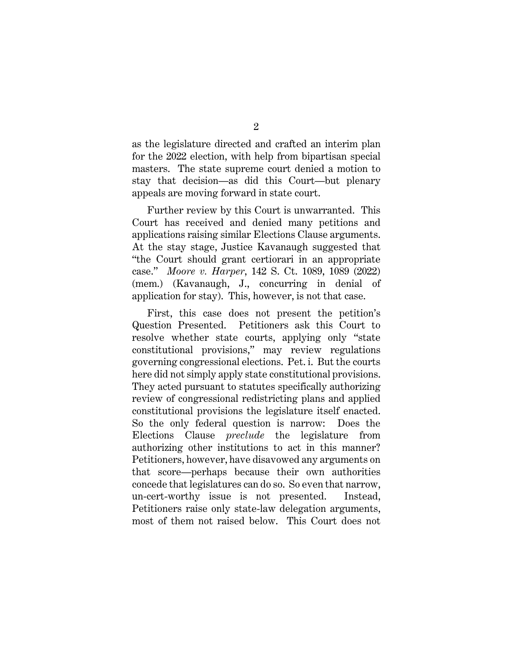as the legislature directed and crafted an interim plan for the 2022 election, with help from bipartisan special masters. The state supreme court denied a motion to stay that decision—as did this Court—but plenary appeals are moving forward in state court.

Further review by this Court is unwarranted. This Court has received and denied many petitions and applications raising similar Elections Clause arguments. At the stay stage, Justice Kavanaugh suggested that "the Court should grant certiorari in an appropriate case." *Moore v. Harper*, 142 S. Ct. 1089, 1089 (2022) (mem.) (Kavanaugh, J., concurring in denial of application for stay). This, however, is not that case.

First, this case does not present the petition's Question Presented. Petitioners ask this Court to resolve whether state courts, applying only "state constitutional provisions," may review regulations governing congressional elections. Pet. i. But the courts here did not simply apply state constitutional provisions. They acted pursuant to statutes specifically authorizing review of congressional redistricting plans and applied constitutional provisions the legislature itself enacted. So the only federal question is narrow: Does the Elections Clause *preclude* the legislature from authorizing other institutions to act in this manner? Petitioners, however, have disavowed any arguments on that score—perhaps because their own authorities concede that legislatures can do so. So even that narrow, un-cert-worthy issue is not presented. Instead, Petitioners raise only state-law delegation arguments, most of them not raised below. This Court does not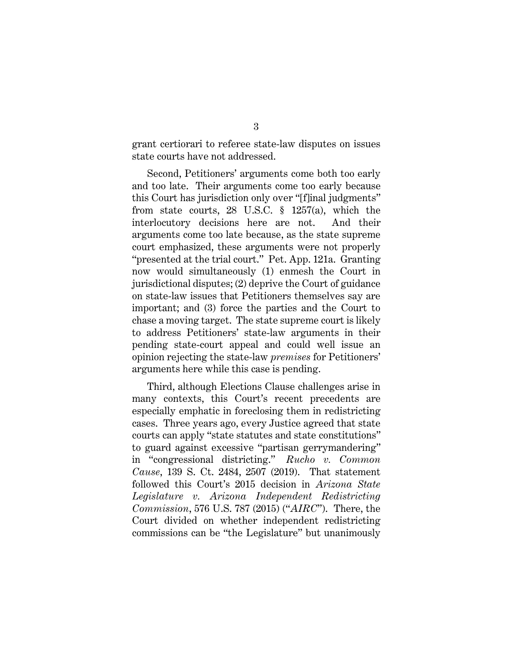grant certiorari to referee state-law disputes on issues state courts have not addressed.

Second, Petitioners' arguments come both too early and too late. Their arguments come too early because this Court has jurisdiction only over "[f]inal judgments" from state courts, 28 U.S.C. § 1257(a), which the interlocutory decisions here are not. And their arguments come too late because, as the state supreme court emphasized, these arguments were not properly "presented at the trial court." Pet. App. 121a. Granting now would simultaneously (1) enmesh the Court in jurisdictional disputes; (2) deprive the Court of guidance on state-law issues that Petitioners themselves say are important; and (3) force the parties and the Court to chase a moving target. The state supreme court is likely to address Petitioners' state-law arguments in their pending state-court appeal and could well issue an opinion rejecting the state-law *premises* for Petitioners' arguments here while this case is pending.

Third, although Elections Clause challenges arise in many contexts, this Court's recent precedents are especially emphatic in foreclosing them in redistricting cases. Three years ago, every Justice agreed that state courts can apply "state statutes and state constitutions" to guard against excessive "partisan gerrymandering" in "congressional districting." *Rucho v. Common Cause*, 139 S. Ct. 2484, 2507 (2019). That statement followed this Court's 2015 decision in *Arizona State Legislature v. Arizona Independent Redistricting Commission*, 576 U.S. 787 (2015) ("*AIRC*"). There, the Court divided on whether independent redistricting commissions can be "the Legislature" but unanimously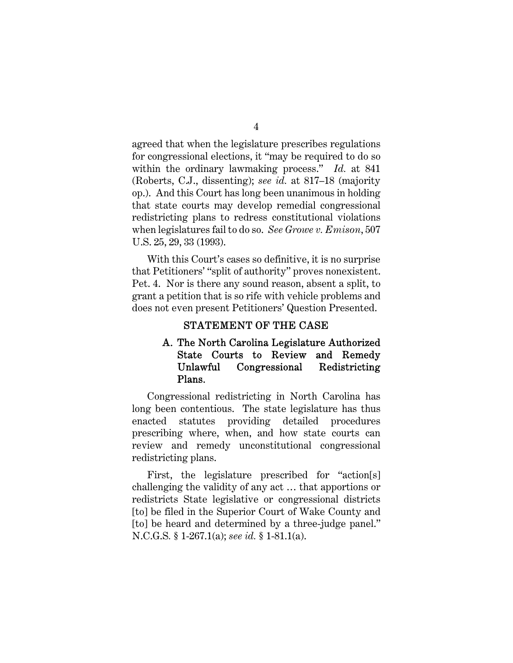agreed that when the legislature prescribes regulations for congressional elections, it "may be required to do so within the ordinary lawmaking process." *Id.* at 841 (Roberts, C.J., dissenting); *see id.* at 817–18 (majority op.). And this Court has long been unanimous in holding that state courts may develop remedial congressional redistricting plans to redress constitutional violations when legislatures fail to do so. *See Growe v. Emison*, 507 U.S. 25, 29, 33 (1993).

With this Court's cases so definitive, it is no surprise that Petitioners' "split of authority" proves nonexistent. Pet. 4. Nor is there any sound reason, absent a split, to grant a petition that is so rife with vehicle problems and does not even present Petitioners' Question Presented.

#### STATEMENT OF THE CASE

## A. The North Carolina Legislature Authorized State Courts to Review and Remedy Unlawful Congressional Redistricting Plans.

Congressional redistricting in North Carolina has long been contentious. The state legislature has thus enacted statutes providing detailed procedures prescribing where, when, and how state courts can review and remedy unconstitutional congressional redistricting plans.

First, the legislature prescribed for "action[s] challenging the validity of any act … that apportions or redistricts State legislative or congressional districts [to] be filed in the Superior Court of Wake County and [to] be heard and determined by a three-judge panel." N.C.G.S*.* § 1-267.1(a); *see id.* § 1-81.1(a).

4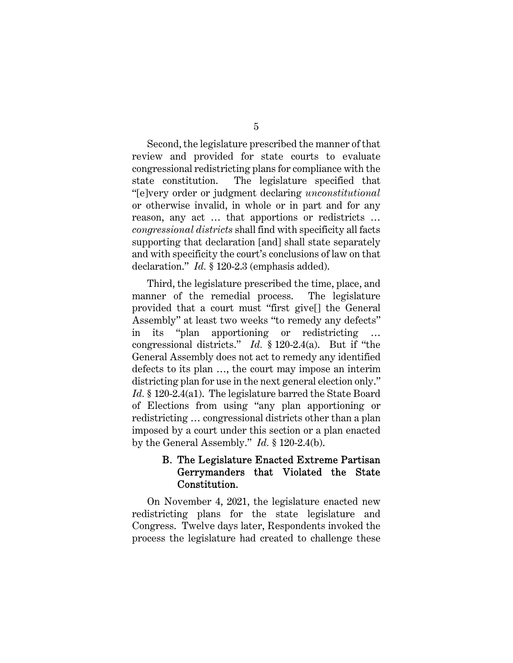5

Second, the legislature prescribed the manner of that review and provided for state courts to evaluate congressional redistricting plans for compliance with the state constitution. The legislature specified that "[e]very order or judgment declaring *unconstitutional* or otherwise invalid, in whole or in part and for any reason, any act … that apportions or redistricts … *congressional districts* shall find with specificity all facts supporting that declaration [and] shall state separately and with specificity the court's conclusions of law on that declaration." *Id.* § 120-2.3 (emphasis added).

Third, the legislature prescribed the time, place, and manner of the remedial process. The legislature provided that a court must "first give[] the General Assembly" at least two weeks "to remedy any defects" in its "plan apportioning or redistricting … congressional districts." *Id.* § 120-2.4(a). But if "the General Assembly does not act to remedy any identified defects to its plan …, the court may impose an interim districting plan for use in the next general election only." *Id.* § 120-2.4(a1). The legislature barred the State Board of Elections from using "any plan apportioning or redistricting … congressional districts other than a plan imposed by a court under this section or a plan enacted by the General Assembly." *Id.* § 120-2.4(b).

## B. The Legislature Enacted Extreme Partisan Gerrymanders that Violated the State Constitution.

On November 4, 2021, the legislature enacted new redistricting plans for the state legislature and Congress. Twelve days later, Respondents invoked the process the legislature had created to challenge these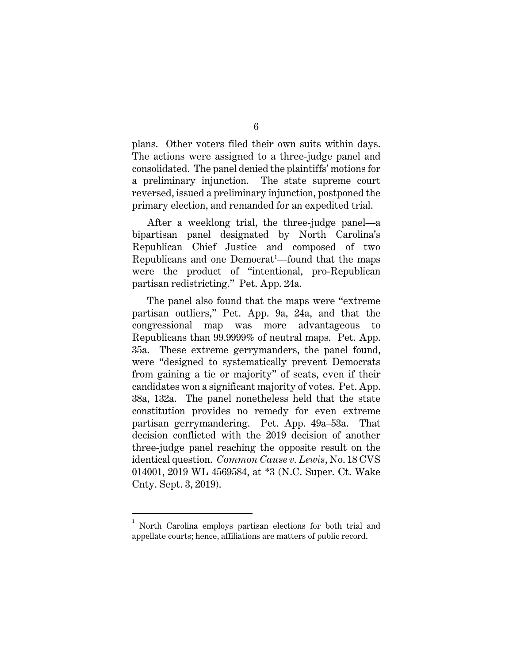plans. Other voters filed their own suits within days. The actions were assigned to a three-judge panel and consolidated. The panel denied the plaintiffs' motions for a preliminary injunction. The state supreme court reversed, issued a preliminary injunction, postponed the primary election, and remanded for an expedited trial.

After a weeklong trial, the three-judge panel—a bipartisan panel designated by North Carolina's Republican Chief Justice and composed of two Republicans and one Democrat<sup>1</sup>—found that the maps were the product of "intentional, pro-Republican partisan redistricting." Pet. App. 24a.

The panel also found that the maps were "extreme partisan outliers," Pet. App. 9a, 24a, and that the congressional map was more advantageous to Republicans than 99.9999% of neutral maps. Pet. App. 35a. These extreme gerrymanders, the panel found, were "designed to systematically prevent Democrats from gaining a tie or majority" of seats, even if their candidates won a significant majority of votes. Pet. App. 38a, 132a. The panel nonetheless held that the state constitution provides no remedy for even extreme partisan gerrymandering. Pet. App. 49a–53a. That decision conflicted with the 2019 decision of another three-judge panel reaching the opposite result on the identical question. *Common Cause v. Lewis*, No. 18 CVS 014001, 2019 WL 4569584, at \*3 (N.C. Super. Ct. Wake Cnty. Sept. 3, 2019).

6

<sup>1</sup> North Carolina employs partisan elections for both trial and appellate courts; hence, affiliations are matters of public record.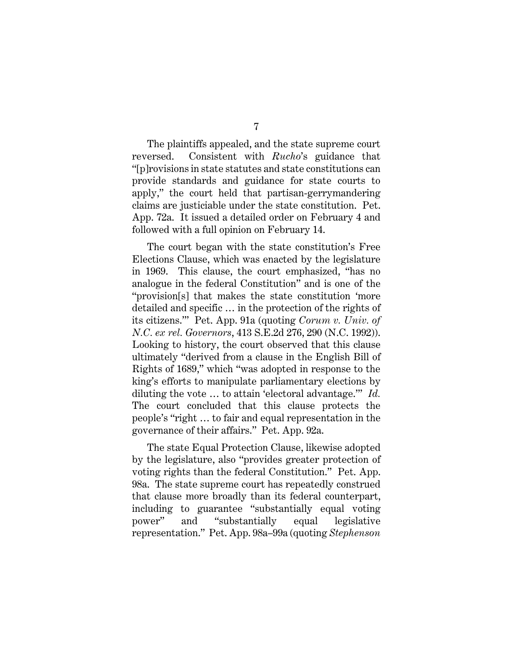7

The plaintiffs appealed, and the state supreme court reversed. Consistent with *Rucho*'s guidance that "[p]rovisions in state statutes and state constitutions can provide standards and guidance for state courts to apply," the court held that partisan-gerrymandering claims are justiciable under the state constitution. Pet. App. 72a. It issued a detailed order on February 4 and followed with a full opinion on February 14.

The court began with the state constitution's Free Elections Clause, which was enacted by the legislature in 1969. This clause, the court emphasized, "has no analogue in the federal Constitution" and is one of the "provision[s] that makes the state constitution 'more detailed and specific … in the protection of the rights of its citizens.'" Pet. App. 91a (quoting *Corum v. Univ. of N.C. ex rel. Governors*, 413 S.E.2d 276, 290 (N.C. 1992)). Looking to history, the court observed that this clause ultimately "derived from a clause in the English Bill of Rights of 1689," which "was adopted in response to the king's efforts to manipulate parliamentary elections by diluting the vote … to attain 'electoral advantage.'" *Id.*  The court concluded that this clause protects the people's "right … to fair and equal representation in the governance of their affairs." Pet. App. 92a.

The state Equal Protection Clause, likewise adopted by the legislature, also "provides greater protection of voting rights than the federal Constitution." Pet. App. 98a. The state supreme court has repeatedly construed that clause more broadly than its federal counterpart, including to guarantee "substantially equal voting power" and "substantially equal legislative representation." Pet. App. 98a–99a (quoting *Stephenson*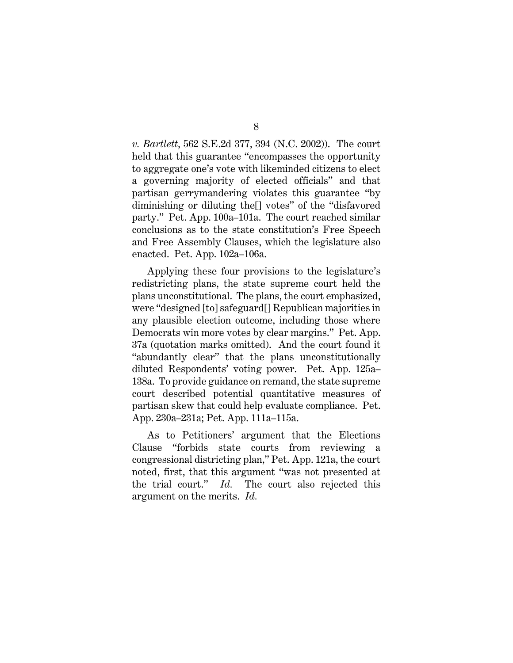8

*v. Bartlett*, 562 S.E.2d 377, 394 (N.C. 2002)). The court held that this guarantee "encompasses the opportunity to aggregate one's vote with likeminded citizens to elect a governing majority of elected officials" and that partisan gerrymandering violates this guarantee "by diminishing or diluting the[] votes" of the "disfavored party." Pet. App. 100a–101a. The court reached similar conclusions as to the state constitution's Free Speech and Free Assembly Clauses, which the legislature also enacted. Pet. App. 102a–106a.

Applying these four provisions to the legislature's redistricting plans, the state supreme court held the plans unconstitutional. The plans, the court emphasized, were "designed [to] safeguard[] Republican majorities in any plausible election outcome, including those where Democrats win more votes by clear margins." Pet. App. 37a (quotation marks omitted). And the court found it "abundantly clear" that the plans unconstitutionally diluted Respondents' voting power. Pet. App. 125a– 138a. To provide guidance on remand, the state supreme court described potential quantitative measures of partisan skew that could help evaluate compliance. Pet. App. 230a–231a; Pet. App. 111a–115a.

As to Petitioners' argument that the Elections Clause "forbids state courts from reviewing a congressional districting plan," Pet. App. 121a, the court noted, first, that this argument "was not presented at the trial court." *Id.* The court also rejected this argument on the merits. *Id.*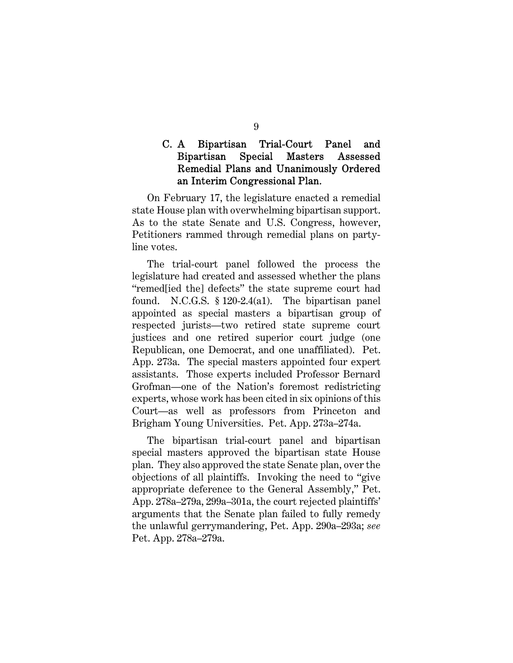## C. A Bipartisan Trial-Court Panel and Bipartisan Special Masters Assessed Remedial Plans and Unanimously Ordered an Interim Congressional Plan.

On February 17, the legislature enacted a remedial state House plan with overwhelming bipartisan support. As to the state Senate and U.S. Congress, however, Petitioners rammed through remedial plans on partyline votes.

The trial-court panel followed the process the legislature had created and assessed whether the plans "remed[ied the] defects" the state supreme court had found. N.C.G.S. § 120-2.4(a1). The bipartisan panel appointed as special masters a bipartisan group of respected jurists—two retired state supreme court justices and one retired superior court judge (one Republican, one Democrat, and one unaffiliated). Pet. App. 273a. The special masters appointed four expert assistants. Those experts included Professor Bernard Grofman—one of the Nation's foremost redistricting experts, whose work has been cited in six opinions of this Court—as well as professors from Princeton and Brigham Young Universities. Pet. App. 273a–274a.

The bipartisan trial-court panel and bipartisan special masters approved the bipartisan state House plan. They also approved the state Senate plan, over the objections of all plaintiffs. Invoking the need to "give appropriate deference to the General Assembly," Pet. App. 278a–279a, 299a–301a, the court rejected plaintiffs' arguments that the Senate plan failed to fully remedy the unlawful gerrymandering, Pet. App. 290a–293a; *see*  Pet. App. 278a–279a.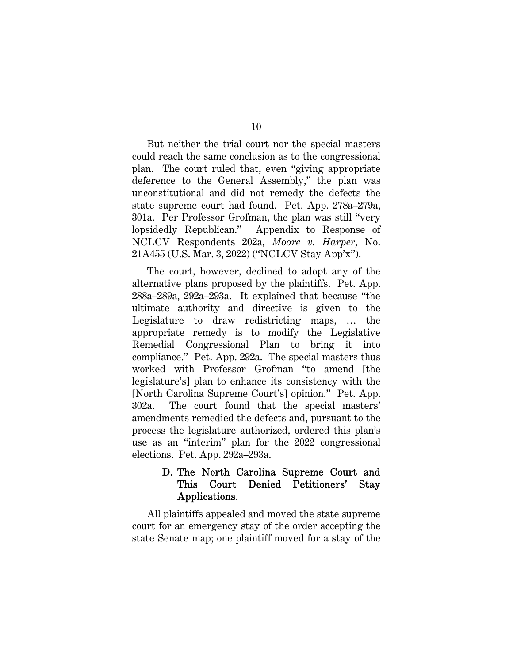But neither the trial court nor the special masters could reach the same conclusion as to the congressional plan. The court ruled that, even "giving appropriate deference to the General Assembly," the plan was unconstitutional and did not remedy the defects the state supreme court had found. Pet. App. 278a–279a, 301a. Per Professor Grofman, the plan was still "very lopsidedly Republican." Appendix to Response of NCLCV Respondents 202a, *Moore v. Harper*, No. 21A455 (U.S. Mar. 3, 2022) ("NCLCV Stay App'x").

The court, however, declined to adopt any of the alternative plans proposed by the plaintiffs. Pet. App. 288a–289a, 292a–293a. It explained that because "the ultimate authority and directive is given to the Legislature to draw redistricting maps, … the appropriate remedy is to modify the Legislative Remedial Congressional Plan to bring it into compliance." Pet. App. 292a. The special masters thus worked with Professor Grofman "to amend [the legislature's] plan to enhance its consistency with the [North Carolina Supreme Court's] opinion." Pet. App. 302a. The court found that the special masters' amendments remedied the defects and, pursuant to the process the legislature authorized, ordered this plan's use as an "interim" plan for the 2022 congressional elections. Pet. App. 292a–293a.

## D. The North Carolina Supreme Court and This Court Denied Petitioners' Stay Applications.

All plaintiffs appealed and moved the state supreme court for an emergency stay of the order accepting the state Senate map; one plaintiff moved for a stay of the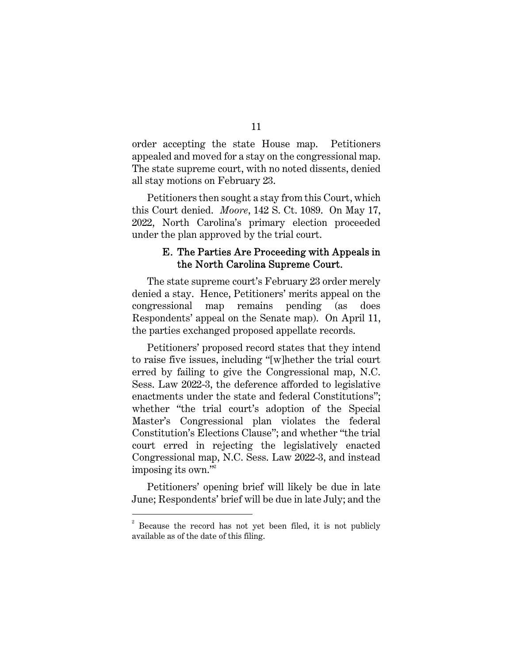order accepting the state House map. Petitioners appealed and moved for a stay on the congressional map. The state supreme court, with no noted dissents, denied all stay motions on February 23.

Petitioners then sought a stay from this Court, which this Court denied. *Moore*, 142 S. Ct. 1089. On May 17, 2022, North Carolina's primary election proceeded under the plan approved by the trial court.

#### E. The Parties Are Proceeding with Appeals in the North Carolina Supreme Court.

The state supreme court's February 23 order merely denied a stay. Hence, Petitioners' merits appeal on the congressional map remains pending (as does Respondents' appeal on the Senate map). On April 11, the parties exchanged proposed appellate records.

Petitioners' proposed record states that they intend to raise five issues, including "[w]hether the trial court erred by failing to give the Congressional map, N.C. Sess. Law 2022-3, the deference afforded to legislative enactments under the state and federal Constitutions"; whether "the trial court's adoption of the Special Master's Congressional plan violates the federal Constitution's Elections Clause"; and whether "the trial court erred in rejecting the legislatively enacted Congressional map, N.C. Sess. Law 2022-3, and instead imposing its own."<sup>2</sup>

Petitioners' opening brief will likely be due in late June; Respondents' brief will be due in late July; and the

<sup>&</sup>lt;sup>2</sup> Because the record has not yet been filed, it is not publicly available as of the date of this filing.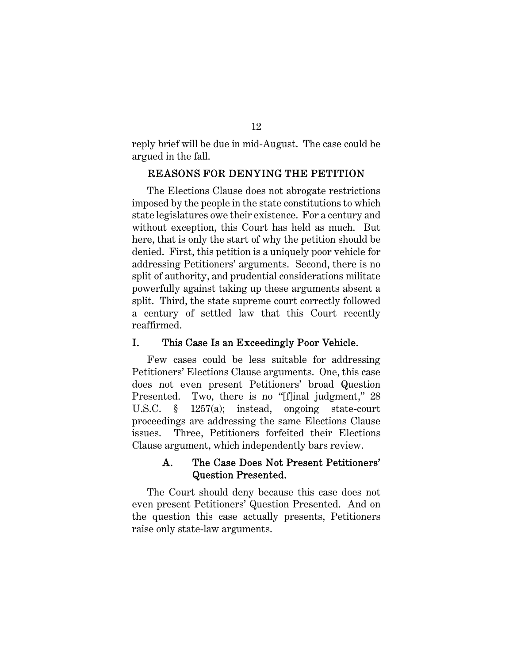reply brief will be due in mid-August. The case could be argued in the fall.

#### REASONS FOR DENYING THE PETITION

The Elections Clause does not abrogate restrictions imposed by the people in the state constitutions to which state legislatures owe their existence. For a century and without exception, this Court has held as much. But here, that is only the start of why the petition should be denied. First, this petition is a uniquely poor vehicle for addressing Petitioners' arguments. Second, there is no split of authority, and prudential considerations militate powerfully against taking up these arguments absent a split. Third, the state supreme court correctly followed a century of settled law that this Court recently reaffirmed.

#### I. This Case Is an Exceedingly Poor Vehicle.

Few cases could be less suitable for addressing Petitioners' Elections Clause arguments. One, this case does not even present Petitioners' broad Question Presented. Two, there is no "[f]inal judgment," 28 U.S.C. § 1257(a); instead, ongoing state-court proceedings are addressing the same Elections Clause issues. Three, Petitioners forfeited their Elections Clause argument, which independently bars review.

## A. The Case Does Not Present Petitioners' Question Presented.

The Court should deny because this case does not even present Petitioners' Question Presented. And on the question this case actually presents, Petitioners raise only state-law arguments.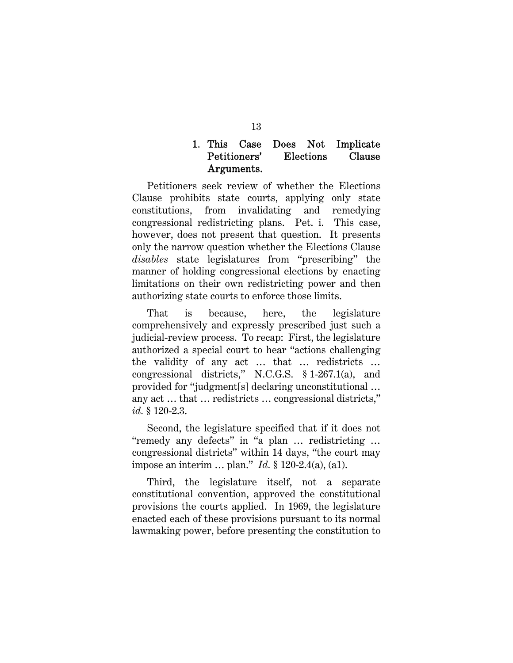## 1. This Case Does Not Implicate Petitioners' Elections Clause Arguments.

Petitioners seek review of whether the Elections Clause prohibits state courts, applying only state constitutions, from invalidating and remedying congressional redistricting plans. Pet. i. This case, however, does not present that question. It presents only the narrow question whether the Elections Clause *disables* state legislatures from "prescribing" the manner of holding congressional elections by enacting limitations on their own redistricting power and then authorizing state courts to enforce those limits.

That is because, here, the legislature comprehensively and expressly prescribed just such a judicial-review process. To recap: First, the legislature authorized a special court to hear "actions challenging the validity of any act … that … redistricts … congressional districts," N.C.G.S. § 1-267.1(a), and provided for "judgment[s] declaring unconstitutional … any act … that … redistricts … congressional districts," *id.* § 120-2.3.

Second, the legislature specified that if it does not "remedy any defects" in "a plan … redistricting … congressional districts" within 14 days, "the court may impose an interim … plan." *Id.* § 120-2.4(a), (a1).

Third, the legislature itself, not a separate constitutional convention, approved the constitutional provisions the courts applied. In 1969, the legislature enacted each of these provisions pursuant to its normal lawmaking power, before presenting the constitution to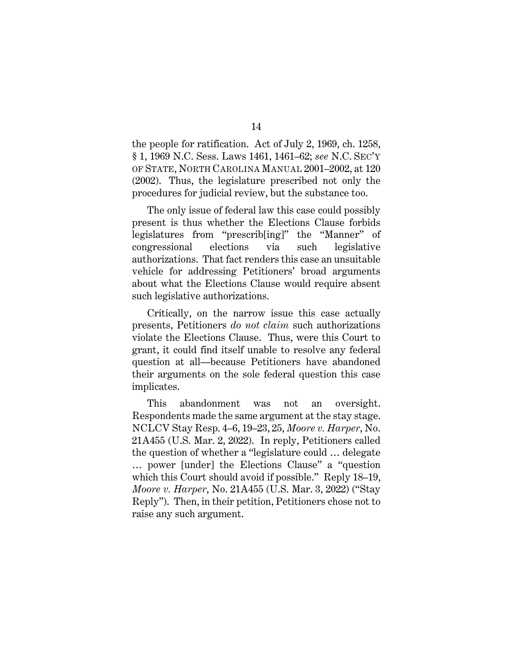the people for ratification. Act of July 2, 1969, ch. 1258, § 1, 1969 N.C. Sess. Laws 1461, 1461–62; *see* N.C. SEC'Y OF STATE, NORTH CAROLINA MANUAL 2001–2002, at 120 (2002). Thus, the legislature prescribed not only the procedures for judicial review, but the substance too.

The only issue of federal law this case could possibly present is thus whether the Elections Clause forbids legislatures from "prescrib[ing]" the "Manner" of congressional elections via such legislative authorizations. That fact renders this case an unsuitable vehicle for addressing Petitioners' broad arguments about what the Elections Clause would require absent such legislative authorizations.

Critically, on the narrow issue this case actually presents, Petitioners *do not claim* such authorizations violate the Elections Clause. Thus, were this Court to grant, it could find itself unable to resolve any federal question at all—because Petitioners have abandoned their arguments on the sole federal question this case implicates.

This abandonment was not an oversight. Respondents made the same argument at the stay stage. NCLCV Stay Resp. 4–6, 19–23, 25, *Moore v. Harper*, No. 21A455 (U.S. Mar. 2, 2022). In reply, Petitioners called the question of whether a "legislature could … delegate … power [under] the Elections Clause" a "question which this Court should avoid if possible." Reply 18–19, *Moore v. Harper*, No. 21A455 (U.S. Mar. 3, 2022) ("Stay Reply"). Then, in their petition, Petitioners chose not to raise any such argument.

14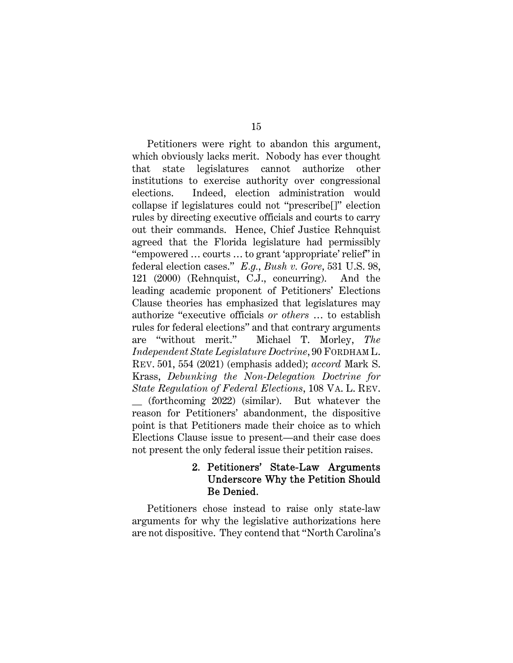Petitioners were right to abandon this argument, which obviously lacks merit. Nobody has ever thought that state legislatures cannot authorize other institutions to exercise authority over congressional elections. Indeed, election administration would collapse if legislatures could not "prescribe[]" election rules by directing executive officials and courts to carry out their commands. Hence, Chief Justice Rehnquist agreed that the Florida legislature had permissibly "empowered … courts … to grant 'appropriate' relief" in federal election cases." *E.g.*, *Bush v. Gore*, 531 U.S. 98, 121 (2000) (Rehnquist, C.J., concurring). And the leading academic proponent of Petitioners' Elections Clause theories has emphasized that legislatures may authorize "executive officials *or others* … to establish rules for federal elections" and that contrary arguments are "without merit." Michael T. Morley, *The Independent State Legislature Doctrine*, 90 FORDHAM L. REV. 501, 554 (2021) (emphasis added); *accord* Mark S. Krass, *Debunking the Non-Delegation Doctrine for State Regulation of Federal Elections*, 108 VA. L. REV. \_\_ (forthcoming 2022) (similar). But whatever the reason for Petitioners' abandonment, the dispositive point is that Petitioners made their choice as to which Elections Clause issue to present—and their case does not present the only federal issue their petition raises.

## 2. Petitioners' State-Law Arguments Underscore Why the Petition Should Be Denied.

Petitioners chose instead to raise only state-law arguments for why the legislative authorizations here are not dispositive. They contend that "North Carolina's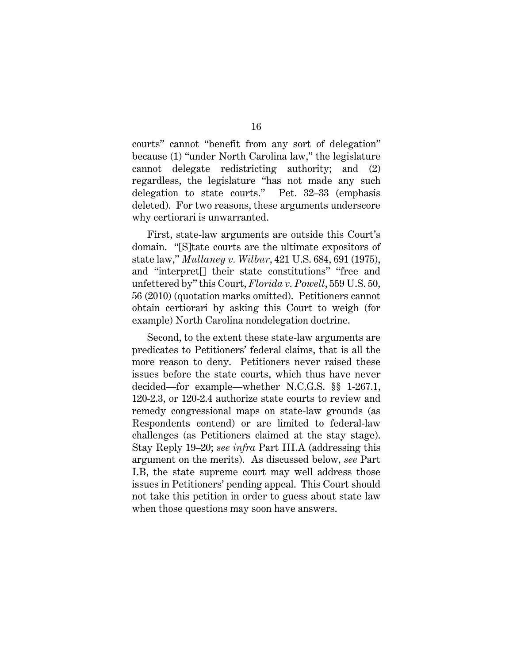courts" cannot "benefit from any sort of delegation" because (1) "under North Carolina law," the legislature cannot delegate redistricting authority; and (2) regardless, the legislature "has not made any such delegation to state courts." Pet. 32–33 (emphasis deleted). For two reasons, these arguments underscore why certiorari is unwarranted.

First, state-law arguments are outside this Court's domain. "[S]tate courts are the ultimate expositors of state law," *Mullaney v. Wilbur*, 421 U.S. 684, 691 (1975), and "interpret[] their state constitutions" "free and unfettered by" this Court, *Florida v. Powell*, 559 U.S. 50, 56 (2010) (quotation marks omitted). Petitioners cannot obtain certiorari by asking this Court to weigh (for example) North Carolina nondelegation doctrine.

Second, to the extent these state-law arguments are predicates to Petitioners' federal claims, that is all the more reason to deny. Petitioners never raised these issues before the state courts, which thus have never decided—for example—whether N.C.G.S. §§ 1-267.1, 120-2.3, or 120-2.4 authorize state courts to review and remedy congressional maps on state-law grounds (as Respondents contend) or are limited to federal-law challenges (as Petitioners claimed at the stay stage). Stay Reply 19–20; *see infra* Part III.A (addressing this argument on the merits). As discussed below, *see* Part I.B, the state supreme court may well address those issues in Petitioners' pending appeal. This Court should not take this petition in order to guess about state law when those questions may soon have answers.

#### 16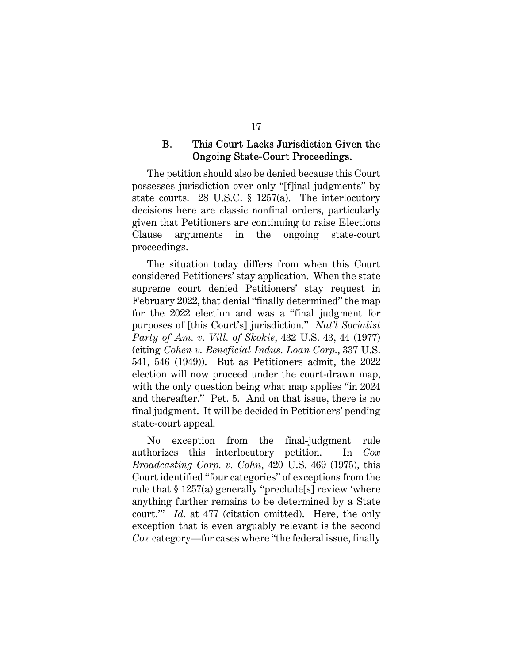#### B. This Court Lacks Jurisdiction Given the Ongoing State-Court Proceedings.

The petition should also be denied because this Court possesses jurisdiction over only "[f]inal judgments" by state courts. 28 U.S.C. § 1257(a). The interlocutory decisions here are classic nonfinal orders, particularly given that Petitioners are continuing to raise Elections Clause arguments in the ongoing state-court proceedings.

The situation today differs from when this Court considered Petitioners' stay application. When the state supreme court denied Petitioners' stay request in February 2022, that denial "finally determined" the map for the 2022 election and was a "final judgment for purposes of [this Court's] jurisdiction." *Nat'l Socialist Party of Am. v. Vill. of Skokie*, 432 U.S. 43, 44 (1977) (citing *Cohen v. Beneficial Indus. Loan Corp.*, 337 U.S. 541, 546 (1949)). But as Petitioners admit, the 2022 election will now proceed under the court-drawn map, with the only question being what map applies "in 2024 and thereafter." Pet. 5. And on that issue, there is no final judgment. It will be decided in Petitioners' pending state-court appeal.

No exception from the final-judgment rule authorizes this interlocutory petition. In *Cox Broadcasting Corp. v. Cohn*, 420 U.S. 469 (1975), this Court identified "four categories" of exceptions from the rule that § 1257(a) generally "preclude[s] review 'where anything further remains to be determined by a State court.'" *Id.* at 477 (citation omitted). Here, the only exception that is even arguably relevant is the second *Cox* category—for cases where "the federal issue, finally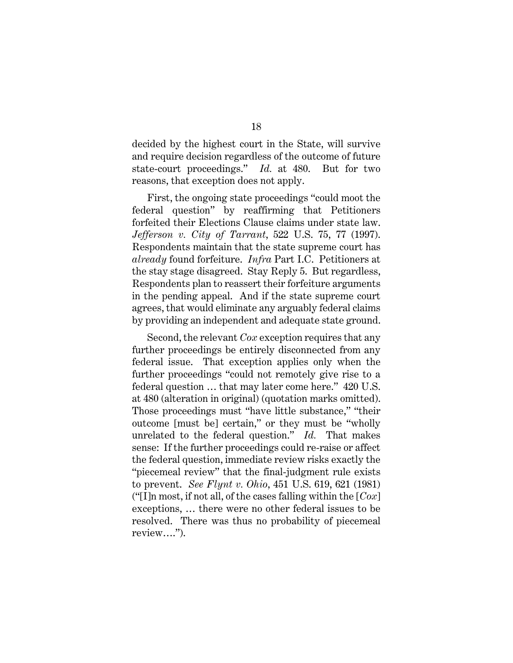decided by the highest court in the State, will survive and require decision regardless of the outcome of future state-court proceedings." *Id.* at 480. But for two reasons, that exception does not apply.

First, the ongoing state proceedings "could moot the federal question" by reaffirming that Petitioners forfeited their Elections Clause claims under state law. *Jefferson v. City of Tarrant*, 522 U.S. 75, 77 (1997). Respondents maintain that the state supreme court has *already* found forfeiture. *Infra* Part I.C. Petitioners at the stay stage disagreed. Stay Reply 5. But regardless, Respondents plan to reassert their forfeiture arguments in the pending appeal. And if the state supreme court agrees, that would eliminate any arguably federal claims by providing an independent and adequate state ground.

Second, the relevant *Cox* exception requires that any further proceedings be entirely disconnected from any federal issue. That exception applies only when the further proceedings "could not remotely give rise to a federal question … that may later come here." 420 U.S. at 480 (alteration in original) (quotation marks omitted). Those proceedings must "have little substance," "their outcome [must be] certain," or they must be "wholly unrelated to the federal question." *Id.* That makes sense: If the further proceedings could re-raise or affect the federal question, immediate review risks exactly the "piecemeal review" that the final-judgment rule exists to prevent. *See Flynt v. Ohio*, 451 U.S. 619, 621 (1981) ("[I]n most, if not all, of the cases falling within the [*Cox*] exceptions, … there were no other federal issues to be resolved. There was thus no probability of piecemeal review….").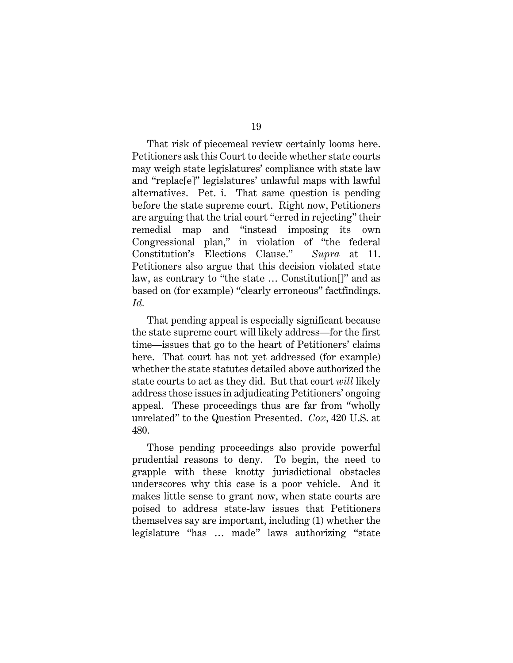That risk of piecemeal review certainly looms here. Petitioners ask this Court to decide whether state courts may weigh state legislatures' compliance with state law and "replac[e]" legislatures' unlawful maps with lawful alternatives. Pet. i. That same question is pending before the state supreme court. Right now, Petitioners are arguing that the trial court "erred in rejecting" their remedial map and "instead imposing its own Congressional plan," in violation of "the federal Constitution's Elections Clause." *Supra* at 11. Petitioners also argue that this decision violated state law, as contrary to "the state … Constitution[]" and as based on (for example) "clearly erroneous" factfindings. *Id.*

That pending appeal is especially significant because the state supreme court will likely address—for the first time—issues that go to the heart of Petitioners' claims here. That court has not yet addressed (for example) whether the state statutes detailed above authorized the state courts to act as they did. But that court *will* likely address those issues in adjudicating Petitioners' ongoing appeal. These proceedings thus are far from "wholly unrelated" to the Question Presented. *Cox*, 420 U.S. at 480.

Those pending proceedings also provide powerful prudential reasons to deny. To begin, the need to grapple with these knotty jurisdictional obstacles underscores why this case is a poor vehicle. And it makes little sense to grant now, when state courts are poised to address state-law issues that Petitioners themselves say are important, including (1) whether the legislature "has … made" laws authorizing "state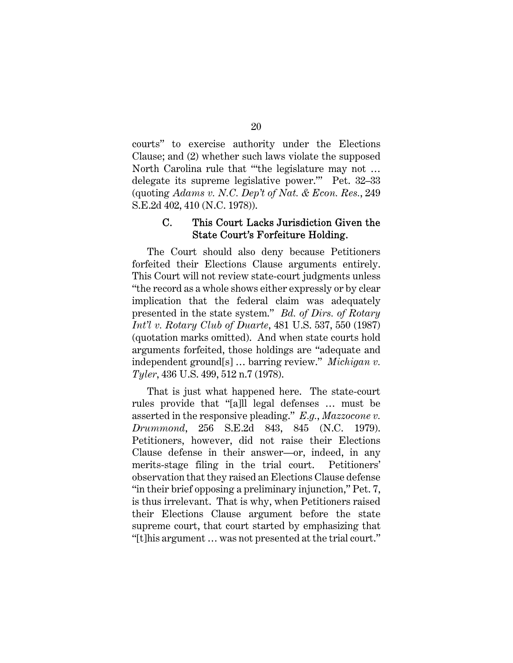courts" to exercise authority under the Elections Clause; and (2) whether such laws violate the supposed North Carolina rule that "'the legislature may not … delegate its supreme legislative power.'" Pet. 32–33 (quoting *Adams v. N.C. Dep't of Nat. & Econ. Res.*, 249 S.E.2d 402, 410 (N.C. 1978)).

## C. This Court Lacks Jurisdiction Given the State Court's Forfeiture Holding.

The Court should also deny because Petitioners forfeited their Elections Clause arguments entirely. This Court will not review state-court judgments unless "the record as a whole shows either expressly or by clear implication that the federal claim was adequately presented in the state system." *Bd. of Dirs. of Rotary Int'l v. Rotary Club of Duarte*, 481 U.S. 537, 550 (1987) (quotation marks omitted). And when state courts hold arguments forfeited, those holdings are "adequate and independent ground[s] … barring review." *Michigan v. Tyler*, 436 U.S. 499, 512 n.7 (1978).

That is just what happened here. The state-court rules provide that "[a]ll legal defenses … must be asserted in the responsive pleading." *E.g.*, *Mazzocone v. Drummond*, 256 S.E.2d 843, 845 (N.C. 1979). Petitioners, however, did not raise their Elections Clause defense in their answer—or, indeed, in any merits-stage filing in the trial court. Petitioners' observation that they raised an Elections Clause defense "in their brief opposing a preliminary injunction," Pet. 7, is thus irrelevant. That is why, when Petitioners raised their Elections Clause argument before the state supreme court, that court started by emphasizing that "[t]his argument … was not presented at the trial court."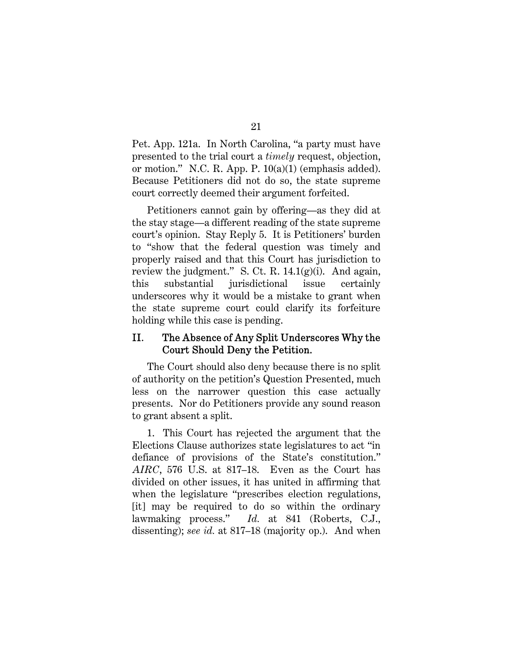Pet. App. 121a. In North Carolina, "a party must have presented to the trial court a *timely* request, objection, or motion." N.C. R. App. P. 10(a)(1) (emphasis added). Because Petitioners did not do so, the state supreme court correctly deemed their argument forfeited.

Petitioners cannot gain by offering—as they did at the stay stage—a different reading of the state supreme court's opinion. Stay Reply 5. It is Petitioners' burden to "show that the federal question was timely and properly raised and that this Court has jurisdiction to review the judgment." S. Ct. R.  $14.1(g)(i)$ . And again, this substantial jurisdictional issue certainly underscores why it would be a mistake to grant when the state supreme court could clarify its forfeiture holding while this case is pending.

## II. The Absence of Any Split Underscores Why the Court Should Deny the Petition.

The Court should also deny because there is no split of authority on the petition's Question Presented, much less on the narrower question this case actually presents. Nor do Petitioners provide any sound reason to grant absent a split.

1. This Court has rejected the argument that the Elections Clause authorizes state legislatures to act "in defiance of provisions of the State's constitution." *AIRC*, 576 U.S. at 817–18. Even as the Court has divided on other issues, it has united in affirming that when the legislature "prescribes election regulations, [it] may be required to do so within the ordinary lawmaking process." *Id.* at 841 (Roberts, C.J., dissenting); *see id.* at 817–18 (majority op.). And when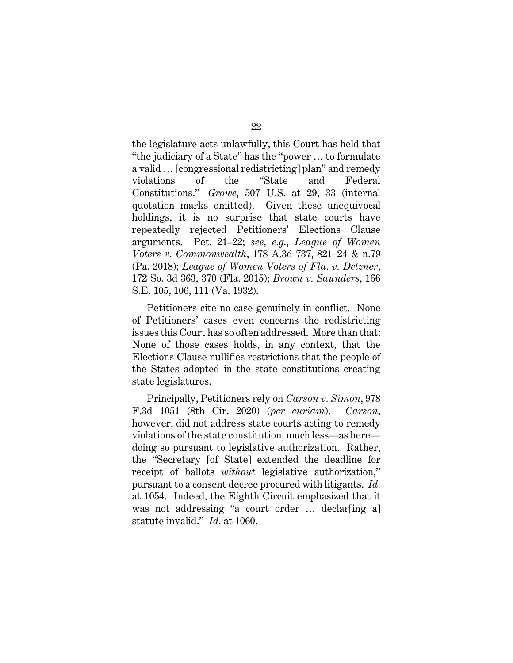the legislature acts unlawfully, this Court has held that "the judiciary of a State" has the "power … to formulate a valid … [congressional redistricting] plan" and remedy violations of the "State and Federal Constitutions." *Growe*, 507 U.S. at 29, 33 (internal quotation marks omitted). Given these unequivocal holdings, it is no surprise that state courts have repeatedly rejected Petitioners' Elections Clause arguments. Pet. 21–22; *see, e.g.*, *League of Women Voters v. Commonwealth*, 178 A.3d 737, 821–24 & n.79 (Pa. 2018); *League of Women Voters of Fla. v. Detzner*, 172 So. 3d 363, 370 (Fla. 2015); *Brown v. Saunders*, 166 S.E. 105, 106, 111 (Va. 1932).

Petitioners cite no case genuinely in conflict. None of Petitioners' cases even concerns the redistricting issues this Court has so often addressed. More than that: None of those cases holds, in any context, that the Elections Clause nullifies restrictions that the people of the States adopted in the state constitutions creating state legislatures.

Principally, Petitioners rely on *Carson v. Simon*, 978 F.3d 1051 (8th Cir. 2020) (*per curiam*). *Carson*, however, did not address state courts acting to remedy violations of the state constitution, much less—as here doing so pursuant to legislative authorization. Rather, the "Secretary [of State] extended the deadline for receipt of ballots *without* legislative authorization," pursuant to a consent decree procured with litigants. *Id.*  at 1054. Indeed, the Eighth Circuit emphasized that it was not addressing "a court order ... declar [ing a] statute invalid." *Id.* at 1060.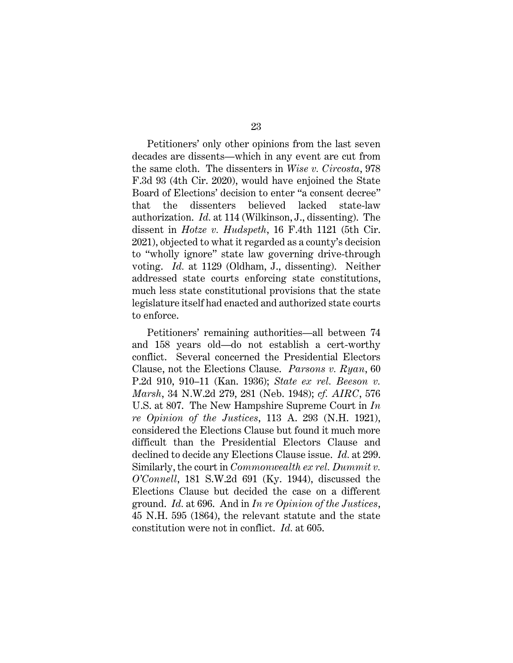Petitioners' only other opinions from the last seven decades are dissents—which in any event are cut from the same cloth. The dissenters in *Wise v. Circosta*, 978 F.3d 93 (4th Cir. 2020), would have enjoined the State Board of Elections' decision to enter "a consent decree" that the dissenters believed lacked state-law authorization. *Id.* at 114 (Wilkinson, J., dissenting). The dissent in *Hotze v. Hudspeth*, 16 F.4th 1121 (5th Cir. 2021), objected to what it regarded as a county's decision to "wholly ignore" state law governing drive-through voting. *Id.* at 1129 (Oldham, J., dissenting). Neither addressed state courts enforcing state constitutions, much less state constitutional provisions that the state legislature itself had enacted and authorized state courts to enforce.

Petitioners' remaining authorities—all between 74 and 158 years old—do not establish a cert-worthy conflict. Several concerned the Presidential Electors Clause, not the Elections Clause. *Parsons v. Ryan*, 60 P.2d 910, 910–11 (Kan. 1936); *State ex rel. Beeson v. Marsh*, 34 N.W.2d 279, 281 (Neb. 1948); *cf. AIRC*, 576 U.S. at 807. The New Hampshire Supreme Court in *In re Opinion of the Justices*, 113 A. 293 (N.H. 1921), considered the Elections Clause but found it much more difficult than the Presidential Electors Clause and declined to decide any Elections Clause issue. *Id.* at 299. Similarly, the court in *Commonwealth ex rel. Dummit v. O'Connell*, 181 S.W.2d 691 (Ky. 1944), discussed the Elections Clause but decided the case on a different ground. *Id.* at 696. And in *In re Opinion of the Justices*, 45 N.H. 595 (1864), the relevant statute and the state constitution were not in conflict. *Id.* at 605.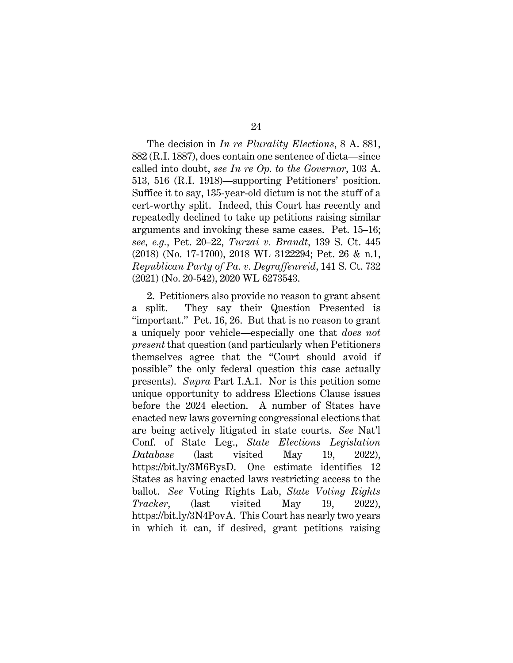24

The decision in *In re Plurality Elections*, 8 A. 881, 882 (R.I. 1887), does contain one sentence of dicta—since called into doubt, *see In re Op. to the Governor*, 103 A. 513, 516 (R.I. 1918)—supporting Petitioners' position. Suffice it to say, 135-year-old dictum is not the stuff of a cert-worthy split. Indeed, this Court has recently and repeatedly declined to take up petitions raising similar arguments and invoking these same cases. Pet. 15–16; *see, e.g.*, Pet. 20–22, *Turzai v. Brandt*, 139 S. Ct. 445 (2018) (No. 17-1700), 2018 WL 3122294; Pet. 26 & n.1, *Republican Party of Pa. v. Degraffenreid*, 141 S. Ct. 732 (2021) (No. 20-542), 2020 WL 6273543.

2. Petitioners also provide no reason to grant absent a split. They say their Question Presented is "important." Pet. 16, 26. But that is no reason to grant a uniquely poor vehicle—especially one that *does not present* that question (and particularly when Petitioners themselves agree that the "Court should avoid if possible" the only federal question this case actually presents). *Supra* Part I.A.1. Nor is this petition some unique opportunity to address Elections Clause issues before the 2024 election. A number of States have enacted new laws governing congressional elections that are being actively litigated in state courts. *See* Nat'l Conf. of State Leg., *State Elections Legislation Database* (last visited May 19, 2022), https://bit.ly/3M6BysD. One estimate identifies 12 States as having enacted laws restricting access to the ballot. *See* Voting Rights Lab, *State Voting Rights Tracker*, (last visited May 19, 2022), https://bit.ly/3N4PovA. This Court has nearly two years in which it can, if desired, grant petitions raising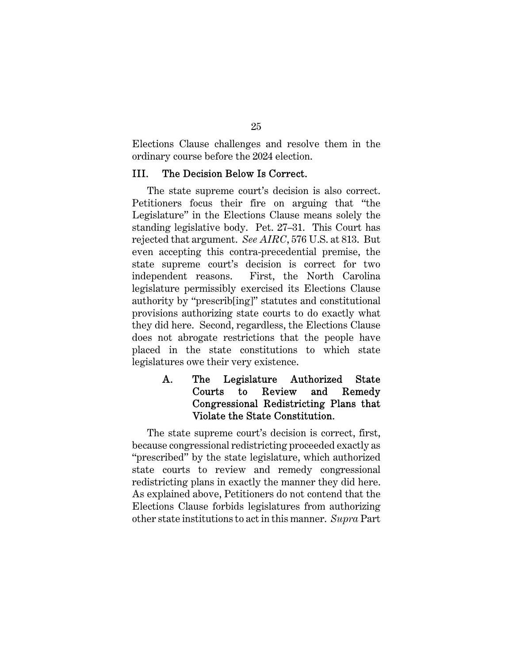Elections Clause challenges and resolve them in the ordinary course before the 2024 election.

#### III. The Decision Below Is Correct.

The state supreme court's decision is also correct. Petitioners focus their fire on arguing that "the Legislature" in the Elections Clause means solely the standing legislative body. Pet. 27–31. This Court has rejected that argument. *See AIRC*, 576 U.S. at 813. But even accepting this contra-precedential premise, the state supreme court's decision is correct for two independent reasons. First, the North Carolina legislature permissibly exercised its Elections Clause authority by "prescrib[ing]" statutes and constitutional provisions authorizing state courts to do exactly what they did here. Second, regardless, the Elections Clause does not abrogate restrictions that the people have placed in the state constitutions to which state legislatures owe their very existence.

## A. The Legislature Authorized State Courts to Review and Remedy Congressional Redistricting Plans that Violate the State Constitution.

The state supreme court's decision is correct, first, because congressional redistricting proceeded exactly as "prescribed" by the state legislature, which authorized state courts to review and remedy congressional redistricting plans in exactly the manner they did here. As explained above, Petitioners do not contend that the Elections Clause forbids legislatures from authorizing other state institutions to act in this manner. *Supra* Part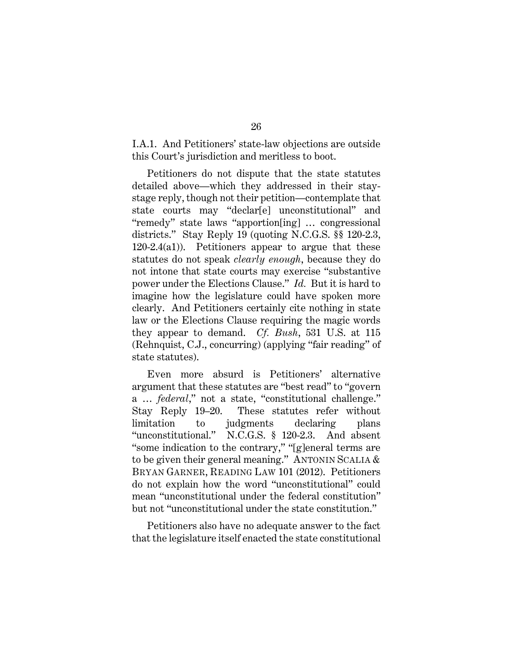I.A.1. And Petitioners' state-law objections are outside this Court's jurisdiction and meritless to boot.

Petitioners do not dispute that the state statutes detailed above—which they addressed in their staystage reply, though not their petition—contemplate that state courts may "declar[e] unconstitutional" and "remedy" state laws "apportion[ing] … congressional districts." Stay Reply 19 (quoting N.C.G.S. §§ 120-2.3, 120-2.4(a1)). Petitioners appear to argue that these statutes do not speak *clearly enough*, because they do not intone that state courts may exercise "substantive power under the Elections Clause." *Id.* But it is hard to imagine how the legislature could have spoken more clearly. And Petitioners certainly cite nothing in state law or the Elections Clause requiring the magic words they appear to demand. *Cf. Bush*, 531 U.S. at 115 (Rehnquist, C.J., concurring) (applying "fair reading" of state statutes).

Even more absurd is Petitioners' alternative argument that these statutes are "best read" to "govern a … *federal*," not a state, "constitutional challenge." Stay Reply 19–20. These statutes refer without limitation to judgments declaring plans "unconstitutional." N.C.G.S. § 120-2.3. And absent "some indication to the contrary," "[g]eneral terms are to be given their general meaning." ANTONIN SCALIA & BRYAN GARNER, READING LAW 101 (2012). Petitioners do not explain how the word "unconstitutional" could mean "unconstitutional under the federal constitution" but not "unconstitutional under the state constitution."

Petitioners also have no adequate answer to the fact that the legislature itself enacted the state constitutional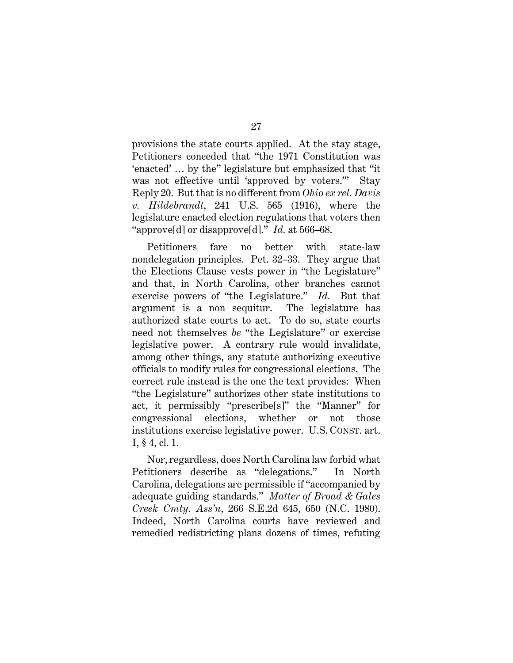provisions the state courts applied. At the stay stage, Petitioners conceded that "the 1971 Constitution was 'enacted' … by the" legislature but emphasized that "it was not effective until 'approved by voters.'" Stay Reply 20. But that is no different from *Ohio ex rel. Davis v. Hildebrandt*, 241 U.S. 565 (1916), where the legislature enacted election regulations that voters then "approve[d] or disapprove[d]." *Id.* at 566–68.

Petitioners fare no better with state-law nondelegation principles. Pet. 32–33. They argue that the Elections Clause vests power in "the Legislature" and that, in North Carolina, other branches cannot exercise powers of "the Legislature." *Id.* But that argument is a non sequitur. The legislature has authorized state courts to act. To do so, state courts need not themselves *be* "the Legislature" or exercise legislative power. A contrary rule would invalidate, among other things, any statute authorizing executive officials to modify rules for congressional elections. The correct rule instead is the one the text provides: When "the Legislature" authorizes other state institutions to act, it permissibly "prescribe[s]" the "Manner" for congressional elections, whether or not those institutions exercise legislative power. U.S. CONST. art. I, § 4, cl. 1.

Nor, regardless, does North Carolina law forbid what Petitioners describe as "delegations." In North Carolina, delegations are permissible if "accompanied by adequate guiding standards." *Matter of Broad & Gales Creek Cmty. Ass'n*, 266 S.E.2d 645, 650 (N.C. 1980). Indeed, North Carolina courts have reviewed and remedied redistricting plans dozens of times, refuting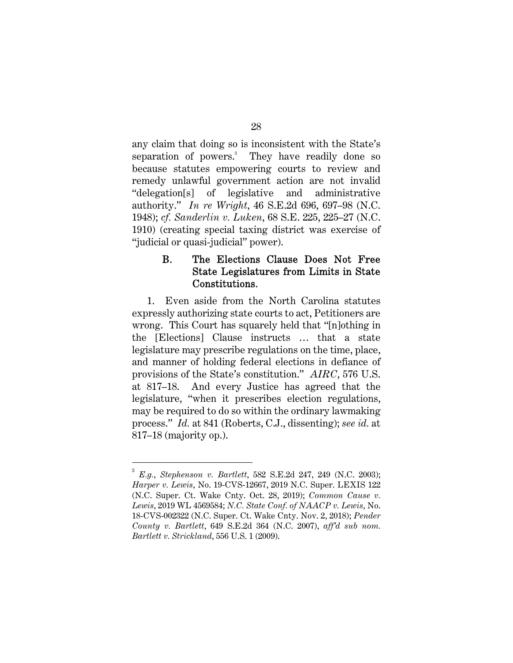any claim that doing so is inconsistent with the State's separation of powers.<sup>3</sup> They have readily done so because statutes empowering courts to review and remedy unlawful government action are not invalid "delegation[s] of legislative and administrative authority." *In re Wright*, 46 S.E.2d 696, 697–98 (N.C. 1948); *cf. Sanderlin v. Luken*, 68 S.E. 225, 225–27 (N.C. 1910) (creating special taxing district was exercise of "judicial or quasi-judicial" power).

## B. The Elections Clause Does Not Free State Legislatures from Limits in State Constitutions.

1. Even aside from the North Carolina statutes expressly authorizing state courts to act, Petitioners are wrong. This Court has squarely held that "[n]othing in the [Elections] Clause instructs … that a state legislature may prescribe regulations on the time, place, and manner of holding federal elections in defiance of provisions of the State's constitution." *AIRC*, 576 U.S. at 817–18. And every Justice has agreed that the legislature, "when it prescribes election regulations, may be required to do so within the ordinary lawmaking process." *Id.* at 841 (Roberts, C.J., dissenting); *see id.* at 817–18 (majority op.).

28

<sup>3</sup> *E.g.*, *Stephenson v. Bartlett*, 582 S.E.2d 247, 249 (N.C. 2003); *Harper v. Lewis*, No. 19-CVS-12667, 2019 N.C. Super. LEXIS 122 (N.C. Super. Ct. Wake Cnty. Oct. 28, 2019); *Common Cause v. Lewis*, 2019 WL 4569584; *N.C. State Conf. of NAACP v. Lewis*, No. 18-CVS-002322 (N.C. Super. Ct. Wake Cnty. Nov. 2, 2018); *Pender County v. Bartlett*, 649 S.E.2d 364 (N.C. 2007), *aff'd sub nom. Bartlett v. Strickland*, 556 U.S. 1 (2009).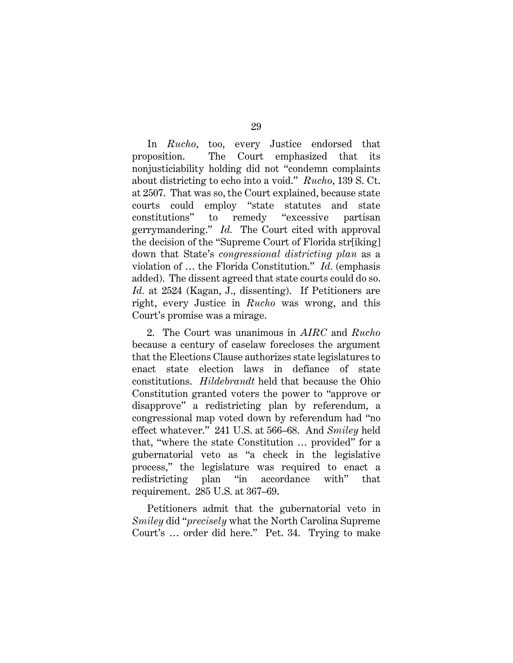In *Rucho*, too, every Justice endorsed that proposition. The Court emphasized that its nonjusticiability holding did not "condemn complaints about districting to echo into a void." *Rucho*, 139 S. Ct. at 2507. That was so, the Court explained, because state courts could employ "state statutes and state constitutions" to remedy "excessive partisan gerrymandering." *Id.* The Court cited with approval the decision of the "Supreme Court of Florida str[iking] down that State's *congressional districting plan* as a violation of … the Florida Constitution." *Id.* (emphasis added). The dissent agreed that state courts could do so. *Id.* at 2524 (Kagan, J., dissenting). If Petitioners are right, every Justice in *Rucho* was wrong, and this Court's promise was a mirage.

2. The Court was unanimous in *AIRC* and *Rucho*  because a century of caselaw forecloses the argument that the Elections Clause authorizes state legislatures to enact state election laws in defiance of state constitutions. *Hildebrandt* held that because the Ohio Constitution granted voters the power to "approve or disapprove" a redistricting plan by referendum, a congressional map voted down by referendum had "no effect whatever." 241 U.S. at 566–68. And *Smiley* held that, "where the state Constitution … provided" for a gubernatorial veto as "a check in the legislative process," the legislature was required to enact a redistricting plan "in accordance with" that requirement. 285 U.S*.* at 367–69.

Petitioners admit that the gubernatorial veto in *Smiley* did "*precisely* what the North Carolina Supreme Court's … order did here." Pet. 34. Trying to make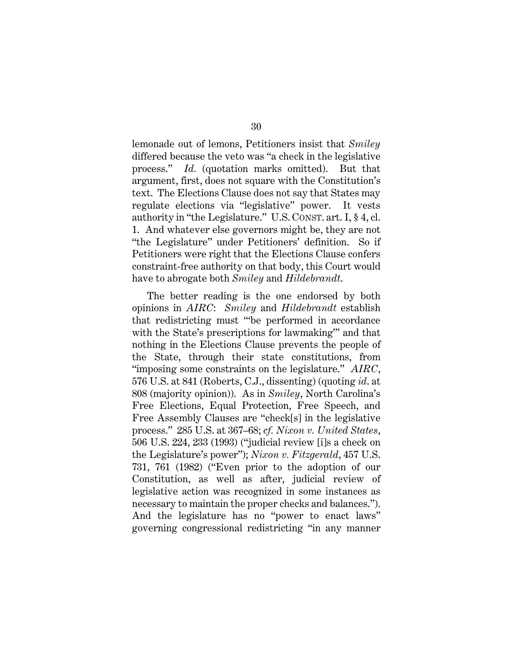lemonade out of lemons, Petitioners insist that *Smiley* differed because the veto was "a check in the legislative process." *Id.* (quotation marks omitted). But that argument, first, does not square with the Constitution's text. The Elections Clause does not say that States may regulate elections via "legislative" power. It vests authority in "the Legislature." U.S. CONST. art. I, § 4, cl. 1. And whatever else governors might be, they are not "the Legislature" under Petitioners' definition. So if Petitioners were right that the Elections Clause confers constraint-free authority on that body, this Court would have to abrogate both *Smiley* and *Hildebrandt*.

The better reading is the one endorsed by both opinions in *AIRC*: *Smiley* and *Hildebrandt* establish that redistricting must "'be performed in accordance with the State's prescriptions for lawmaking'" and that nothing in the Elections Clause prevents the people of the State, through their state constitutions, from "imposing some constraints on the legislature." *AIRC*, 576 U.S. at 841 (Roberts, C.J., dissenting) (quoting *id*. at 808 (majority opinion)). As in *Smiley*, North Carolina's Free Elections, Equal Protection, Free Speech, and Free Assembly Clauses are "check[s] in the legislative process." 285 U.S. at 367–68; *cf. Nixon v. United States*, 506 U.S. 224, 233 (1993) ("judicial review [i]s a check on the Legislature's power"); *Nixon v. Fitzgerald*, 457 U.S. 731, 761 (1982) ("Even prior to the adoption of our Constitution, as well as after, judicial review of legislative action was recognized in some instances as necessary to maintain the proper checks and balances."). And the legislature has no "power to enact laws" governing congressional redistricting "in any manner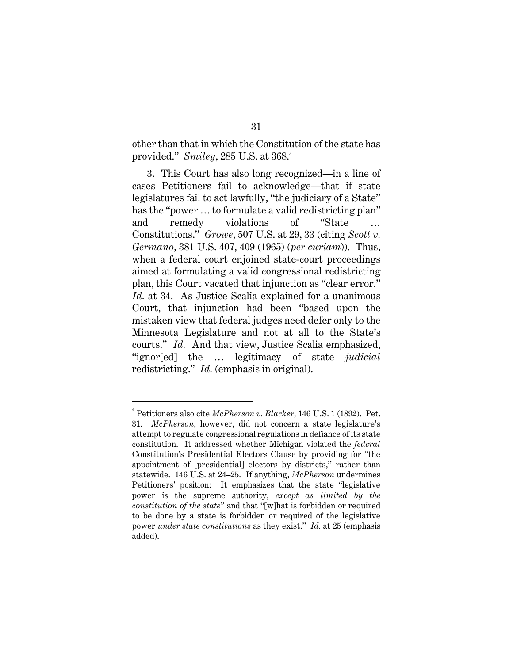other than that in which the Constitution of the state has provided." *Smiley*, 285 U.S. at 368.<sup>4</sup>

3. This Court has also long recognized—in a line of cases Petitioners fail to acknowledge—that if state legislatures fail to act lawfully, "the judiciary of a State" has the "power ... to formulate a valid redistricting plan" and remedy violations of "State Constitutions." *Growe*, 507 U.S. at 29, 33 (citing *Scott v. Germano*, 381 U.S. 407, 409 (1965) (*per curiam*)). Thus, when a federal court enjoined state-court proceedings aimed at formulating a valid congressional redistricting plan, this Court vacated that injunction as "clear error." *Id.* at 34. As Justice Scalia explained for a unanimous Court, that injunction had been "based upon the mistaken view that federal judges need defer only to the Minnesota Legislature and not at all to the State's courts." *Id.* And that view, Justice Scalia emphasized, "ignor[ed] the … legitimacy of state *judicial*  redistricting." *Id.* (emphasis in original).

<sup>4</sup> Petitioners also cite *McPherson v. Blacker,* 146 U.S. 1 (1892). Pet. 31. *McPherson*, however, did not concern a state legislature's attempt to regulate congressional regulations in defiance of its state constitution. It addressed whether Michigan violated the *federal* Constitution's Presidential Electors Clause by providing for "the appointment of [presidential] electors by districts," rather than statewide. 146 U.S. at 24–25. If anything, *McPherson* undermines Petitioners' position: It emphasizes that the state "legislative power is the supreme authority, *except as limited by the constitution of the state*" and that "[w]hat is forbidden or required to be done by a state is forbidden or required of the legislative power *under state constitutions* as they exist." *Id.* at 25 (emphasis added).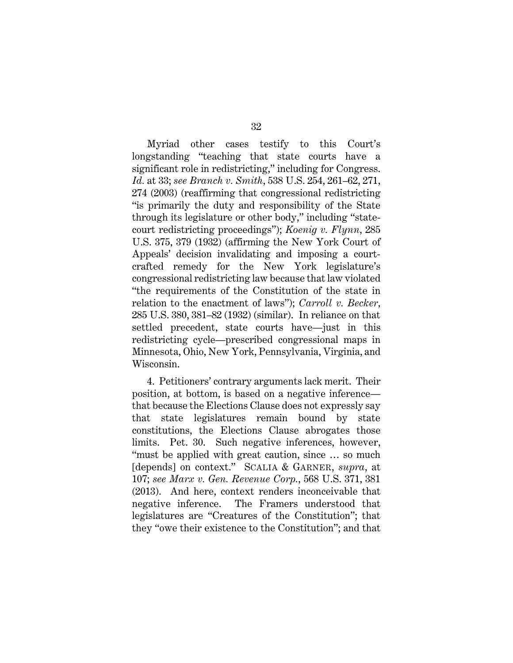Myriad other cases testify to this Court's longstanding "teaching that state courts have a significant role in redistricting," including for Congress. *Id.* at 33; *see Branch v. Smith*, 538 U.S. 254, 261–62, 271, 274 (2003) (reaffirming that congressional redistricting "is primarily the duty and responsibility of the State through its legislature or other body," including "statecourt redistricting proceedings"); *Koenig v. Flynn*, 285 U.S. 375, 379 (1932) (affirming the New York Court of Appeals' decision invalidating and imposing a courtcrafted remedy for the New York legislature's congressional redistricting law because that law violated "the requirements of the Constitution of the state in relation to the enactment of laws"); *Carroll v. Becker*, 285 U.S. 380, 381–82 (1932) (similar). In reliance on that settled precedent, state courts have—just in this redistricting cycle—prescribed congressional maps in Minnesota, Ohio, New York, Pennsylvania, Virginia, and Wisconsin.

4. Petitioners' contrary arguments lack merit. Their position, at bottom, is based on a negative inference that because the Elections Clause does not expressly say that state legislatures remain bound by state constitutions, the Elections Clause abrogates those limits. Pet. 30. Such negative inferences, however, "must be applied with great caution, since … so much [depends] on context." SCALIA & GARNER, *supra*, at 107; *see Marx v. Gen. Revenue Corp.*, 568 U.S. 371, 381 (2013). And here, context renders inconceivable that negative inference. The Framers understood that legislatures are "Creatures of the Constitution"; that they "owe their existence to the Constitution"; and that

#### 32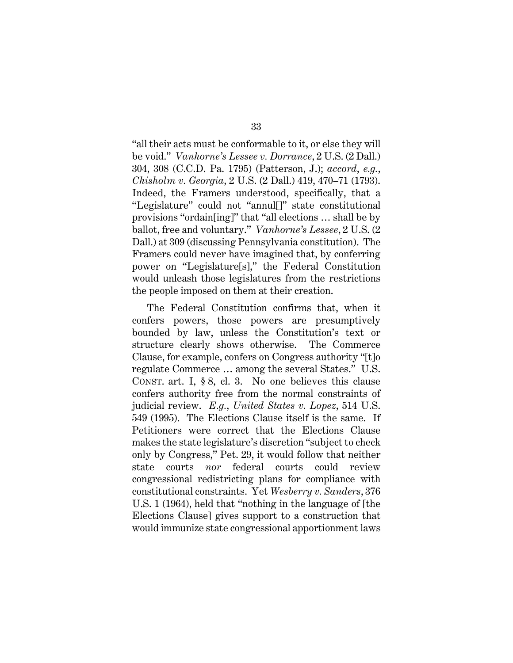"all their acts must be conformable to it, or else they will be void." *Vanhorne's Lessee v. Dorrance*, 2 U.S. (2 Dall.) 304, 308 (C.C.D. Pa. 1795) (Patterson, J.); *accord*, *e.g.*, *Chisholm v. Georgia*, 2 U.S. (2 Dall.) 419, 470–71 (1793). Indeed, the Framers understood, specifically, that a "Legislature" could not "annul[]" state constitutional provisions "ordain[ing]" that "all elections … shall be by ballot, free and voluntary." *Vanhorne's Lessee*, 2 U.S. (2 Dall.) at 309 (discussing Pennsylvania constitution). The Framers could never have imagined that, by conferring power on "Legislature[s]," the Federal Constitution would unleash those legislatures from the restrictions the people imposed on them at their creation.

The Federal Constitution confirms that, when it confers powers, those powers are presumptively bounded by law, unless the Constitution's text or structure clearly shows otherwise. The Commerce Clause, for example, confers on Congress authority "[t]o regulate Commerce … among the several States." U.S. CONST. art. I, § 8, cl. 3. No one believes this clause confers authority free from the normal constraints of judicial review. *E.g.*, *United States v. Lopez*, 514 U.S. 549 (1995). The Elections Clause itself is the same. If Petitioners were correct that the Elections Clause makes the state legislature's discretion "subject to check only by Congress," Pet. 29, it would follow that neither state courts *nor* federal courts could review congressional redistricting plans for compliance with constitutional constraints. Yet *Wesberry v. Sanders*, 376 U.S. 1 (1964), held that "nothing in the language of [the Elections Clause] gives support to a construction that would immunize state congressional apportionment laws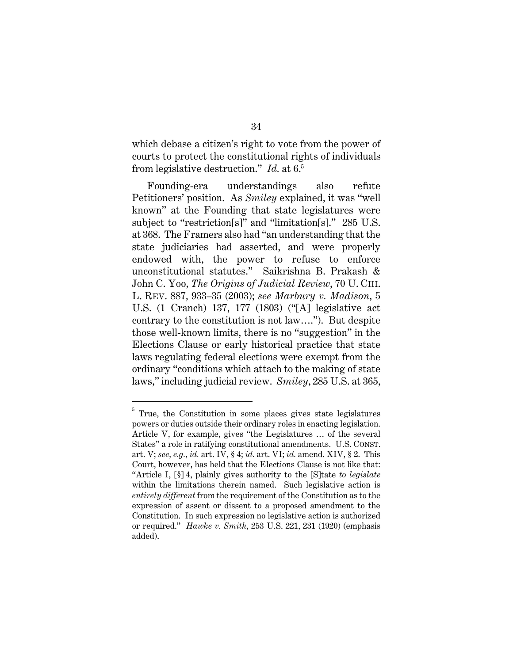which debase a citizen's right to vote from the power of courts to protect the constitutional rights of individuals from legislative destruction." *Id.* at 6.<sup>5</sup>

Founding-era understandings also refute Petitioners' position. As *Smiley* explained, it was "well known" at the Founding that state legislatures were subject to "restriction[s]" and "limitation[s]." 285 U.S. at 368. The Framers also had "an understanding that the state judiciaries had asserted, and were properly endowed with, the power to refuse to enforce unconstitutional statutes." Saikrishna B. Prakash & John C. Yoo, *The Origins of Judicial Review*, 70 U. CHI. L. REV. 887, 933–35 (2003); *see Marbury v. Madison*, 5 U.S. (1 Cranch) 137, 177 (1803) ("[A] legislative act contrary to the constitution is not law…."). But despite those well-known limits, there is no "suggestion" in the Elections Clause or early historical practice that state laws regulating federal elections were exempt from the ordinary "conditions which attach to the making of state laws," including judicial review. *Smiley*, 285 U.S. at 365,

34

<sup>5</sup> True, the Constitution in some places gives state legislatures powers or duties outside their ordinary roles in enacting legislation. Article V, for example, gives "the Legislatures … of the several States" a role in ratifying constitutional amendments. U.S. CONST. art. V; *see, e.g.*, *id.* art. IV, § 4; *id.* art. VI; *id.* amend. XIV, § 2. This Court, however, has held that the Elections Clause is not like that: "Article I, [§] 4, plainly gives authority to the [S]tate *to legislate* within the limitations therein named. Such legislative action is *entirely different* from the requirement of the Constitution as to the expression of assent or dissent to a proposed amendment to the Constitution. In such expression no legislative action is authorized or required." *Hawke v. Smith*, 253 U.S. 221, 231 (1920) (emphasis added).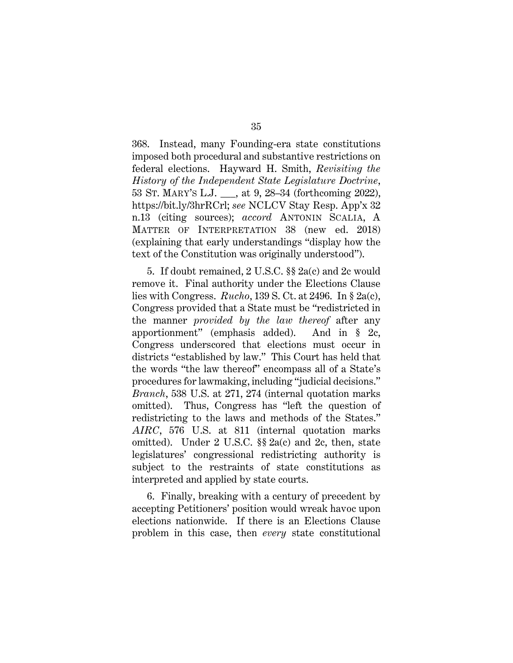368. Instead, many Founding-era state constitutions imposed both procedural and substantive restrictions on federal elections. Hayward H. Smith, *Revisiting the History of the Independent State Legislature Doctrine*, 53 ST. MARY'S L.J. \_\_\_, at 9, 28–34 (forthcoming 2022), https://bit.ly/3hrRCrl; *see* NCLCV Stay Resp. App'x 32 n.13 (citing sources); *accord* ANTONIN SCALIA, A MATTER OF INTERPRETATION 38 (new ed. 2018) (explaining that early understandings "display how the text of the Constitution was originally understood").

5. If doubt remained, 2 U.S.C. §§ 2a(c) and 2c would remove it. Final authority under the Elections Clause lies with Congress. *Rucho*, 139 S. Ct. at 2496. In § 2a(c), Congress provided that a State must be "redistricted in the manner *provided by the law thereof* after any apportionment" (emphasis added). And in § 2c, Congress underscored that elections must occur in districts "established by law." This Court has held that the words "the law thereof" encompass all of a State's procedures for lawmaking, including "judicial decisions." *Branch*, 538 U.S. at 271, 274 (internal quotation marks omitted). Thus, Congress has "left the question of redistricting to the laws and methods of the States." *AIRC*, 576 U.S. at 811 (internal quotation marks omitted). Under 2 U.S.C. §§ 2a(c) and 2c, then, state legislatures' congressional redistricting authority is subject to the restraints of state constitutions as interpreted and applied by state courts.

6. Finally, breaking with a century of precedent by accepting Petitioners' position would wreak havoc upon elections nationwide. If there is an Elections Clause problem in this case, then *every* state constitutional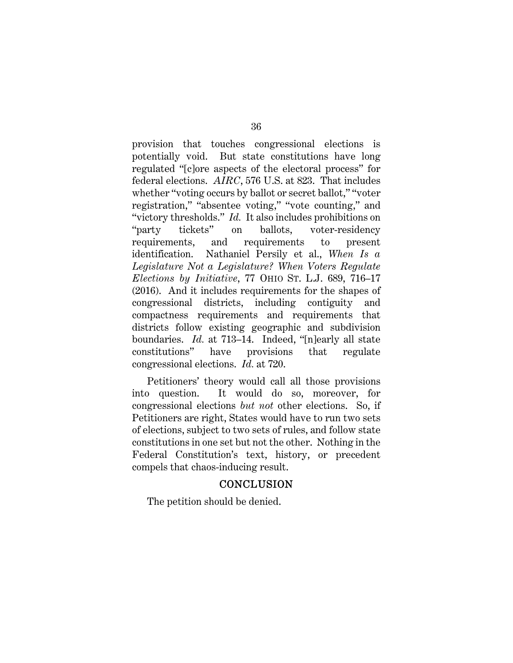provision that touches congressional elections is potentially void. But state constitutions have long regulated "[c]ore aspects of the electoral process" for federal elections. *AIRC*, 576 U.S. at 823. That includes whether "voting occurs by ballot or secret ballot," "voter registration," "absentee voting," "vote counting," and "victory thresholds." *Id.* It also includes prohibitions on "party tickets" on ballots, voter-residency requirements, and requirements to present identification. Nathaniel Persily et al., *When Is a Legislature Not a Legislature? When Voters Regulate Elections by Initiative*, 77 OHIO ST. L.J. 689, 716–17 (2016). And it includes requirements for the shapes of congressional districts, including contiguity and compactness requirements and requirements that districts follow existing geographic and subdivision boundaries. *Id.* at 713–14. Indeed, "[n]early all state constitutions" have provisions that regulate congressional elections. *Id.* at 720.

Petitioners' theory would call all those provisions into question. It would do so, moreover, for congressional elections *but not* other elections. So, if Petitioners are right, States would have to run two sets of elections, subject to two sets of rules, and follow state constitutions in one set but not the other. Nothing in the Federal Constitution's text, history, or precedent compels that chaos-inducing result.

## **CONCLUSION**

The petition should be denied.